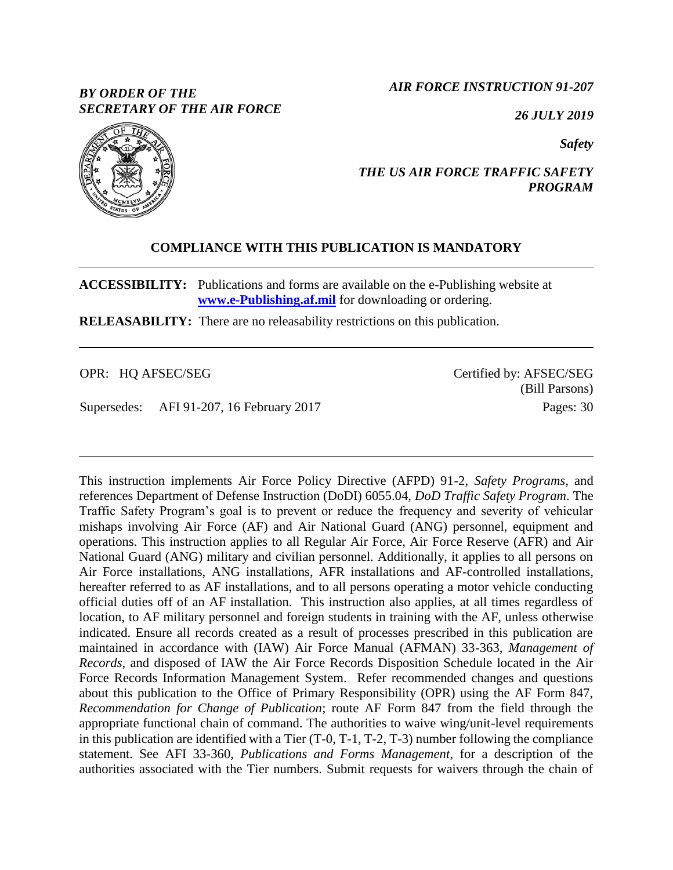## *BY ORDER OF THE SECRETARY OF THE AIR FORCE*

*AIR FORCE INSTRUCTION 91-207*

*26 JULY 2019*

*Safety*



## *THE US AIR FORCE TRAFFIC SAFETY PROGRAM*

## **COMPLIANCE WITH THIS PUBLICATION IS MANDATORY**

**ACCESSIBILITY:** Publications and forms are available on the e-Publishing website at **[www.e-Publishing.af.mil](http://www.e-publishing.af.mil/)** for downloading or ordering.

**RELEASABILITY:** There are no releasability restrictions on this publication.

OPR: HQ AFSEC/SEG

Supersedes: AFI 91-207, 16 February 2017

Certified by: AFSEC/SEG (Bill Parsons) Pages: 30

This instruction implements Air Force Policy Directive (AFPD) 91-2, *Safety Programs*, and references Department of Defense Instruction (DoDI) 6055.04, *DoD Traffic Safety Program*. The Traffic Safety Program's goal is to prevent or reduce the frequency and severity of vehicular mishaps involving Air Force (AF) and Air National Guard (ANG) personnel, equipment and operations. This instruction applies to all Regular Air Force, Air Force Reserve (AFR) and Air National Guard (ANG) military and civilian personnel. Additionally, it applies to all persons on Air Force installations, ANG installations, AFR installations and AF-controlled installations, hereafter referred to as AF installations, and to all persons operating a motor vehicle conducting official duties off of an AF installation. This instruction also applies, at all times regardless of location, to AF military personnel and foreign students in training with the AF, unless otherwise indicated. Ensure all records created as a result of processes prescribed in this publication are maintained in accordance with (IAW) Air Force Manual (AFMAN) 33-363, *Management of Records,* and disposed of IAW the Air Force Records Disposition Schedule located in the Air Force Records Information Management System. Refer recommended changes and questions about this publication to the Office of Primary Responsibility (OPR) using the AF Form 847, *Recommendation for Change of Publication*; route AF Form 847 from the field through the appropriate functional chain of command. The authorities to waive wing/unit-level requirements in this publication are identified with a Tier (T-0, T-1, T-2, T-3) number following the compliance statement. See AFI 33-360, *Publications and Forms Management*, for a description of the authorities associated with the Tier numbers. Submit requests for waivers through the chain of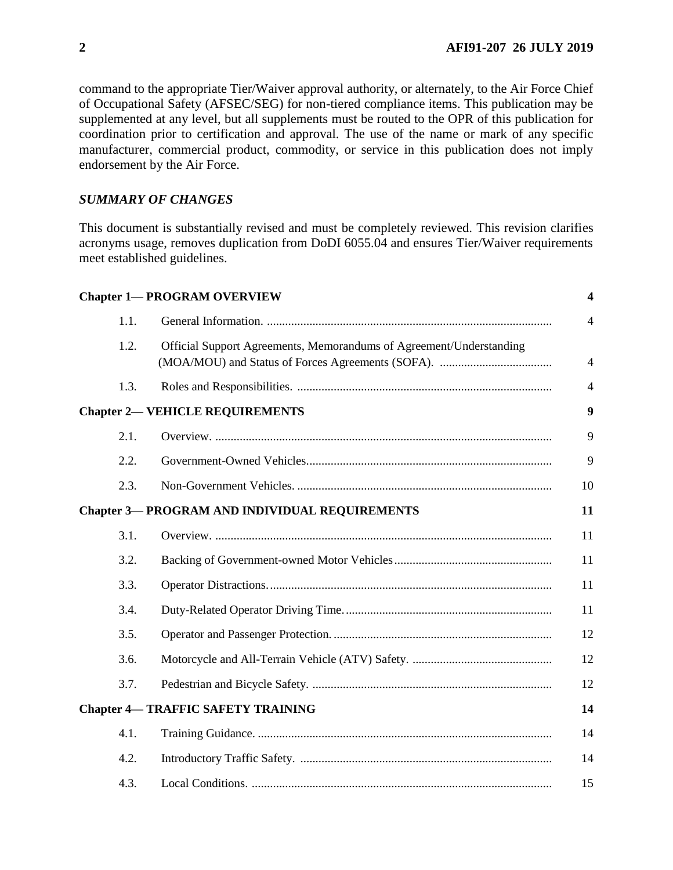command to the appropriate Tier/Waiver approval authority, or alternately, to the Air Force Chief of Occupational Safety (AFSEC/SEG) for non-tiered compliance items. This publication may be supplemented at any level, but all supplements must be routed to the OPR of this publication for coordination prior to certification and approval. The use of the name or mark of any specific manufacturer, commercial product, commodity, or service in this publication does not imply endorsement by the Air Force.

## *SUMMARY OF CHANGES*

This document is substantially revised and must be completely reviewed. This revision clarifies acronyms usage, removes duplication from DoDI 6055.04 and ensures Tier/Waiver requirements meet established guidelines.

|      | <b>Chapter 1-PROGRAM OVERVIEW</b>                                   | $\overline{\mathbf{4}}$ |
|------|---------------------------------------------------------------------|-------------------------|
| 1.1. |                                                                     | $\overline{4}$          |
| 1.2. | Official Support Agreements, Memorandums of Agreement/Understanding | $\overline{4}$          |
| 1.3. |                                                                     | $\overline{4}$          |
|      | <b>Chapter 2- VEHICLE REQUIREMENTS</b>                              | $\boldsymbol{9}$        |
| 2.1. |                                                                     | 9                       |
| 2.2. |                                                                     | 9                       |
| 2.3. |                                                                     | 10                      |
|      | <b>Chapter 3— PROGRAM AND INDIVIDUAL REQUIREMENTS</b>               | 11                      |
| 3.1. |                                                                     | 11                      |
| 3.2. |                                                                     | 11                      |
| 3.3. |                                                                     | 11                      |
| 3.4. |                                                                     | 11                      |
| 3.5. |                                                                     | 12                      |
| 3.6. |                                                                     | 12                      |
| 3.7. |                                                                     | 12                      |
|      | <b>Chapter 4-TRAFFIC SAFETY TRAINING</b>                            | 14                      |
| 4.1. |                                                                     | 14                      |
| 4.2. |                                                                     | 14                      |
| 4.3. |                                                                     | 15                      |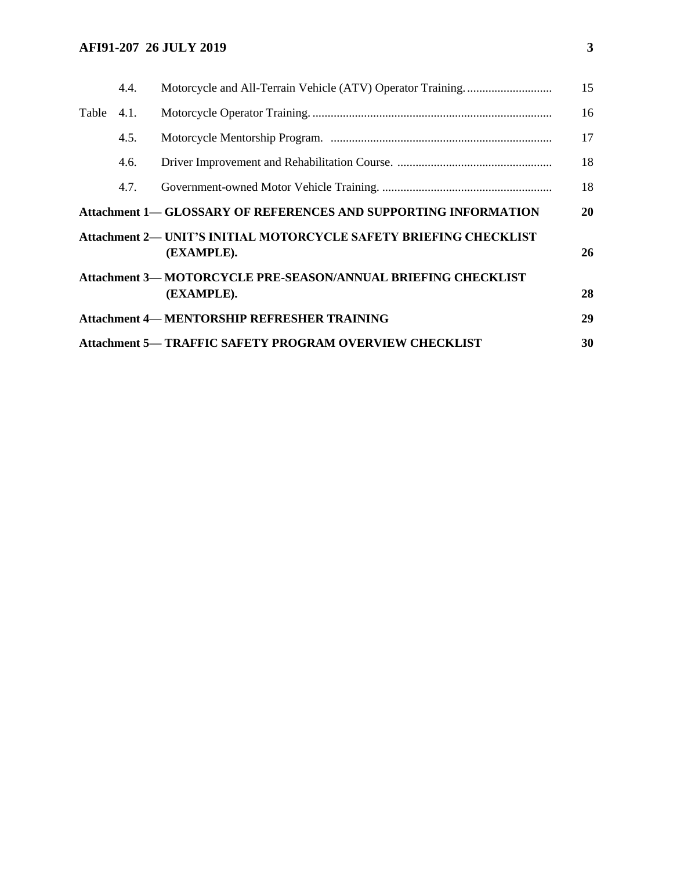## **AFI91-207 26 JULY 2019 3**

|       | 4.4. |                                                                                        | 15 |
|-------|------|----------------------------------------------------------------------------------------|----|
| Table | 4.1. |                                                                                        | 16 |
|       | 4.5. |                                                                                        | 17 |
|       | 4.6. |                                                                                        | 18 |
|       | 4.7. |                                                                                        | 18 |
|       |      | <b>Attachment 1— GLOSSARY OF REFERENCES AND SUPPORTING INFORMATION</b>                 | 20 |
|       |      | <b>Attachment 2— UNIT'S INITIAL MOTORCYCLE SAFETY BRIEFING CHECKLIST</b><br>(EXAMPLE). | 26 |
|       |      | <b>Attachment 3— MOTORCYCLE PRE-SEASON/ANNUAL BRIEFING CHECKLIST</b><br>(EXAMPLE).     | 28 |
|       |      | <b>Attachment 4-MENTORSHIP REFRESHER TRAINING</b>                                      | 29 |
|       |      | <b>Attachment 5— TRAFFIC SAFETY PROGRAM OVERVIEW CHECKLIST</b>                         | 30 |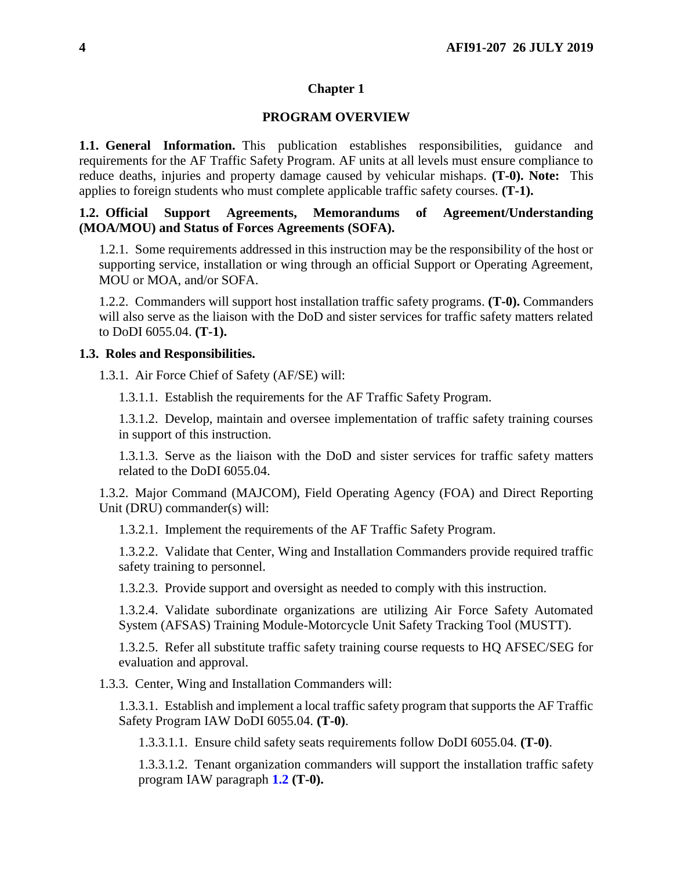### **Chapter 1**

## **PROGRAM OVERVIEW**

<span id="page-3-1"></span><span id="page-3-0"></span>**1.1. General Information.** This publication establishes responsibilities, guidance and requirements for the AF Traffic Safety Program. AF units at all levels must ensure compliance to reduce deaths, injuries and property damage caused by vehicular mishaps. **(T-0). Note:** This applies to foreign students who must complete applicable traffic safety courses. **(T-1).**

## <span id="page-3-2"></span>**1.2. Official Support Agreements, Memorandums of Agreement/Understanding (MOA/MOU) and Status of Forces Agreements (SOFA).**

1.2.1. Some requirements addressed in this instruction may be the responsibility of the host or supporting service, installation or wing through an official Support or Operating Agreement, MOU or MOA, and/or SOFA.

1.2.2. Commanders will support host installation traffic safety programs. **(T-0).** Commanders will also serve as the liaison with the DoD and sister services for traffic safety matters related to DoDI 6055.04. **(T-1).**

#### <span id="page-3-3"></span>**1.3. Roles and Responsibilities.**

1.3.1. Air Force Chief of Safety (AF/SE) will:

1.3.1.1. Establish the requirements for the AF Traffic Safety Program.

1.3.1.2. Develop, maintain and oversee implementation of traffic safety training courses in support of this instruction.

1.3.1.3. Serve as the liaison with the DoD and sister services for traffic safety matters related to the DoDI 6055.04.

1.3.2. Major Command (MAJCOM), Field Operating Agency (FOA) and Direct Reporting Unit (DRU) commander(s) will:

1.3.2.1. Implement the requirements of the AF Traffic Safety Program.

1.3.2.2. Validate that Center, Wing and Installation Commanders provide required traffic safety training to personnel.

1.3.2.3. Provide support and oversight as needed to comply with this instruction.

1.3.2.4. Validate subordinate organizations are utilizing Air Force Safety Automated System (AFSAS) Training Module-Motorcycle Unit Safety Tracking Tool (MUSTT).

1.3.2.5. Refer all substitute traffic safety training course requests to HQ AFSEC/SEG for evaluation and approval.

1.3.3. Center, Wing and Installation Commanders will:

<span id="page-3-4"></span>1.3.3.1. Establish and implement a local traffic safety program that supports the AF Traffic Safety Program IAW DoDI 6055.04. **(T-0)**.

1.3.3.1.1. Ensure child safety seats requirements follow DoDI 6055.04. **(T-0)**.

1.3.3.1.2. Tenant organization commanders will support the installation traffic safety program IAW paragraph **[1.2](#page-3-2) (T-0).**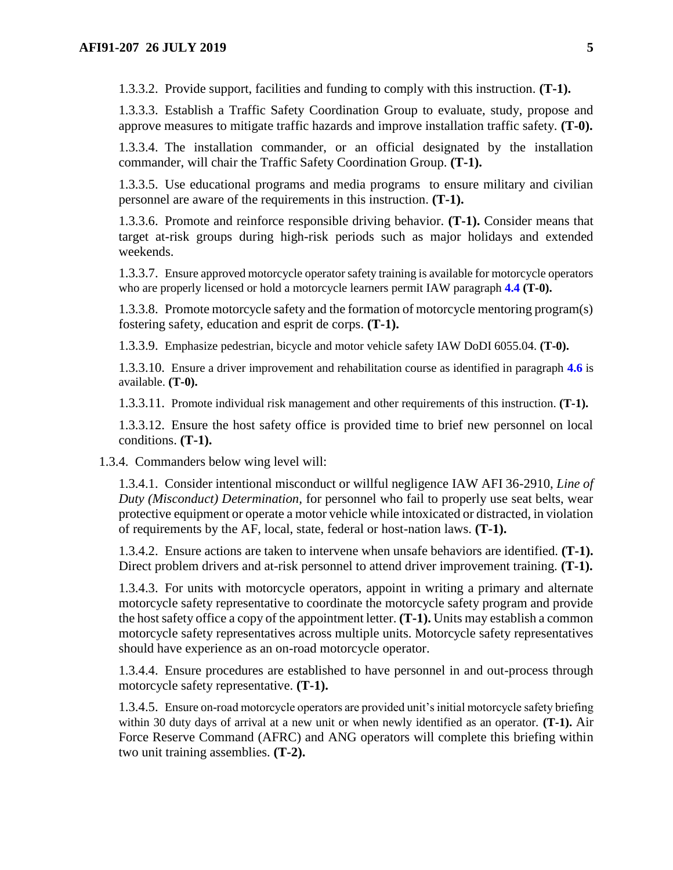1.3.3.2. Provide support, facilities and funding to comply with this instruction. **(T-1).**

1.3.3.3. Establish a Traffic Safety Coordination Group to evaluate, study, propose and approve measures to mitigate traffic hazards and improve installation traffic safety. **(T-0).**

1.3.3.4. The installation commander, or an official designated by the installation commander, will chair the Traffic Safety Coordination Group. **(T-1).**

1.3.3.5. Use educational programs and media programs to ensure military and civilian personnel are aware of the requirements in this instruction. **(T-1).**

1.3.3.6. Promote and reinforce responsible driving behavior. **(T-1).** Consider means that target at-risk groups during high-risk periods such as major holidays and extended weekends.

<span id="page-4-4"></span>1.3.3.7. Ensure approved motorcycle operator safety training is available for motorcycle operators who are properly licensed or hold a motorcycle learners permit IAW paragraph **[4.4](#page-14-1) (T-0).**

1.3.3.8. Promote motorcycle safety and the formation of motorcycle mentoring program(s) fostering safety, education and esprit de corps. **(T-1).**

1.3.3.9. Emphasize pedestrian, bicycle and motor vehicle safety IAW DoDI 6055.04. **(T-0).**

<span id="page-4-3"></span>1.3.3.10. Ensure a driver improvement and rehabilitation course as identified in paragraph **[4.6](#page-17-0)** is available. **(T-0).**

1.3.3.11. Promote individual risk management and other requirements of this instruction. **(T-1).**

1.3.3.12. Ensure the host safety office is provided time to brief new personnel on local conditions. **(T-1).**

1.3.4. Commanders below wing level will:

1.3.4.1. Consider intentional misconduct or willful negligence IAW AFI 36-2910, *Line of Duty (Misconduct) Determination,* for personnel who fail to properly use seat belts, wear protective equipment or operate a motor vehicle while intoxicated or distracted, in violation of requirements by the AF, local, state, federal or host-nation laws. **(T-1).**

1.3.4.2. Ensure actions are taken to intervene when unsafe behaviors are identified. **(T-1).**  Direct problem drivers and at-risk personnel to attend driver improvement training. **(T-1).** 

<span id="page-4-2"></span>1.3.4.3. For units with motorcycle operators, appoint in writing a primary and alternate motorcycle safety representative to coordinate the motorcycle safety program and provide the host safety office a copy of the appointment letter. **(T-1).** Units may establish a common motorcycle safety representatives across multiple units. Motorcycle safety representatives should have experience as an on-road motorcycle operator.

<span id="page-4-0"></span>1.3.4.4. Ensure procedures are established to have personnel in and out-process through motorcycle safety representative. **(T-1).**

<span id="page-4-1"></span>1.3.4.5. Ensure on-road motorcycle operators are provided unit's initial motorcycle safety briefing within 30 duty days of arrival at a new unit or when newly identified as an operator. **(T-1).** Air Force Reserve Command (AFRC) and ANG operators will complete this briefing within two unit training assemblies. **(T-2).**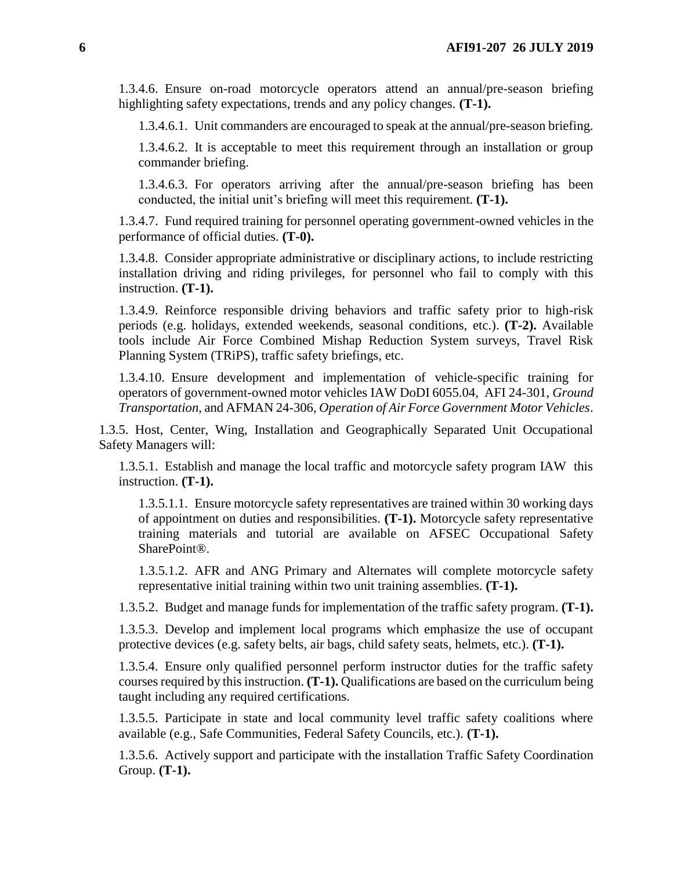<span id="page-5-2"></span>1.3.4.6. Ensure on-road motorcycle operators attend an annual/pre-season briefing highlighting safety expectations, trends and any policy changes. **(T-1).**

1.3.4.6.1. Unit commanders are encouraged to speak at the annual/pre-season briefing.

1.3.4.6.2. It is acceptable to meet this requirement through an installation or group commander briefing.

1.3.4.6.3. For operators arriving after the annual/pre-season briefing has been conducted, the initial unit's briefing will meet this requirement. **(T-1).**

1.3.4.7. Fund required training for personnel operating government-owned vehicles in the performance of official duties. **(T-0).**

1.3.4.8. Consider appropriate administrative or disciplinary actions, to include restricting installation driving and riding privileges, for personnel who fail to comply with this instruction. **(T-1).**

1.3.4.9. Reinforce responsible driving behaviors and traffic safety prior to high-risk periods (e.g. holidays, extended weekends, seasonal conditions, etc.). **(T-2).** Available tools include Air Force Combined Mishap Reduction System surveys, Travel Risk Planning System (TRiPS), traffic safety briefings, etc.

<span id="page-5-1"></span>1.3.4.10. Ensure development and implementation of vehicle-specific training for operators of government-owned motor vehicles IAW DoDI 6055.04, AFI 24-301, *Ground Transportation,* and AFMAN 24-306, *Operation of Air Force Government Motor Vehicles*.

1.3.5. Host, Center, Wing, Installation and Geographically Separated Unit Occupational Safety Managers will:

<span id="page-5-0"></span>1.3.5.1. Establish and manage the local traffic and motorcycle safety program IAW this instruction. **(T-1).**

1.3.5.1.1. Ensure motorcycle safety representatives are trained within 30 working days of appointment on duties and responsibilities. **(T-1).** Motorcycle safety representative training materials and tutorial are available on AFSEC Occupational Safety SharePoint®.

1.3.5.1.2. AFR and ANG Primary and Alternates will complete motorcycle safety representative initial training within two unit training assemblies. **(T-1).**

1.3.5.2. Budget and manage funds for implementation of the traffic safety program. **(T-1).**

1.3.5.3. Develop and implement local programs which emphasize the use of occupant protective devices (e.g. safety belts, air bags, child safety seats, helmets, etc.). **(T-1).**

1.3.5.4. Ensure only qualified personnel perform instructor duties for the traffic safety courses required by this instruction. **(T-1).** Qualifications are based on the curriculum being taught including any required certifications.

1.3.5.5. Participate in state and local community level traffic safety coalitions where available (e.g., Safe Communities, Federal Safety Councils, etc.). **(T-1).**

1.3.5.6. Actively support and participate with the installation Traffic Safety Coordination Group. **(T-1).**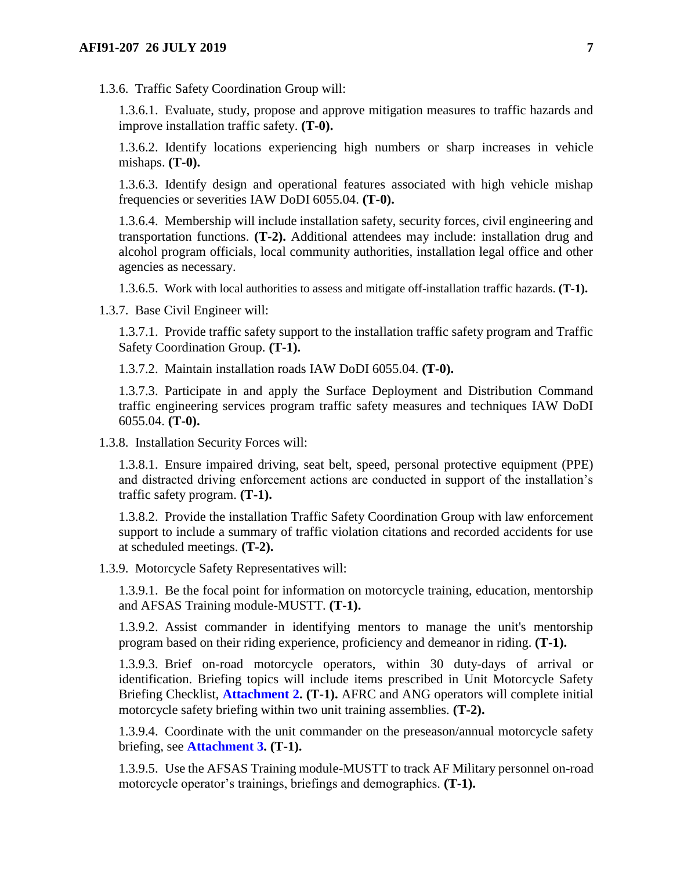1.3.6. Traffic Safety Coordination Group will:

1.3.6.1. Evaluate, study, propose and approve mitigation measures to traffic hazards and improve installation traffic safety. **(T-0).**

1.3.6.2. Identify locations experiencing high numbers or sharp increases in vehicle mishaps. **(T-0).**

1.3.6.3. Identify design and operational features associated with high vehicle mishap frequencies or severities IAW DoDI 6055.04. **(T-0).**

<span id="page-6-0"></span>1.3.6.4. Membership will include installation safety, security forces, civil engineering and transportation functions. **(T-2).** Additional attendees may include: installation drug and alcohol program officials, local community authorities, installation legal office and other agencies as necessary.

1.3.6.5. Work with local authorities to assess and mitigate off-installation traffic hazards. **(T-1).**

<span id="page-6-1"></span>1.3.7. Base Civil Engineer will:

1.3.7.1. Provide traffic safety support to the installation traffic safety program and Traffic Safety Coordination Group. **(T-1).**

1.3.7.2. Maintain installation roads IAW DoDI 6055.04. **(T-0).**

1.3.7.3. Participate in and apply the Surface Deployment and Distribution Command traffic engineering services program traffic safety measures and techniques IAW DoDI 6055.04. **(T-0).**

1.3.8. Installation Security Forces will:

1.3.8.1. Ensure impaired driving, seat belt, speed, personal protective equipment (PPE) and distracted driving enforcement actions are conducted in support of the installation's traffic safety program. **(T-1).**

1.3.8.2. Provide the installation Traffic Safety Coordination Group with law enforcement support to include a summary of traffic violation citations and recorded accidents for use at scheduled meetings. **(T-2).**

1.3.9. Motorcycle Safety Representatives will:

1.3.9.1. Be the focal point for information on motorcycle training, education, mentorship and AFSAS Training module-MUSTT. **(T-1).**

1.3.9.2. Assist commander in identifying mentors to manage the unit's mentorship program based on their riding experience, proficiency and demeanor in riding. **(T-1).**

1.3.9.3. Brief on-road motorcycle operators, within 30 duty-days of arrival or identification. Briefing topics will include items prescribed in Unit Motorcycle Safety Briefing Checklist, **[Attachment 2.](#page-25-0) (T-1).** AFRC and ANG operators will complete initial motorcycle safety briefing within two unit training assemblies. **(T-2).**

<span id="page-6-3"></span>1.3.9.4. Coordinate with the unit commander on the preseason/annual motorcycle safety briefing, see **[Attachment 3.](#page-27-0) (T-1).**

<span id="page-6-2"></span>1.3.9.5. Use the AFSAS Training module-MUSTT to track AF Military personnel on-road motorcycle operator's trainings, briefings and demographics. **(T-1).**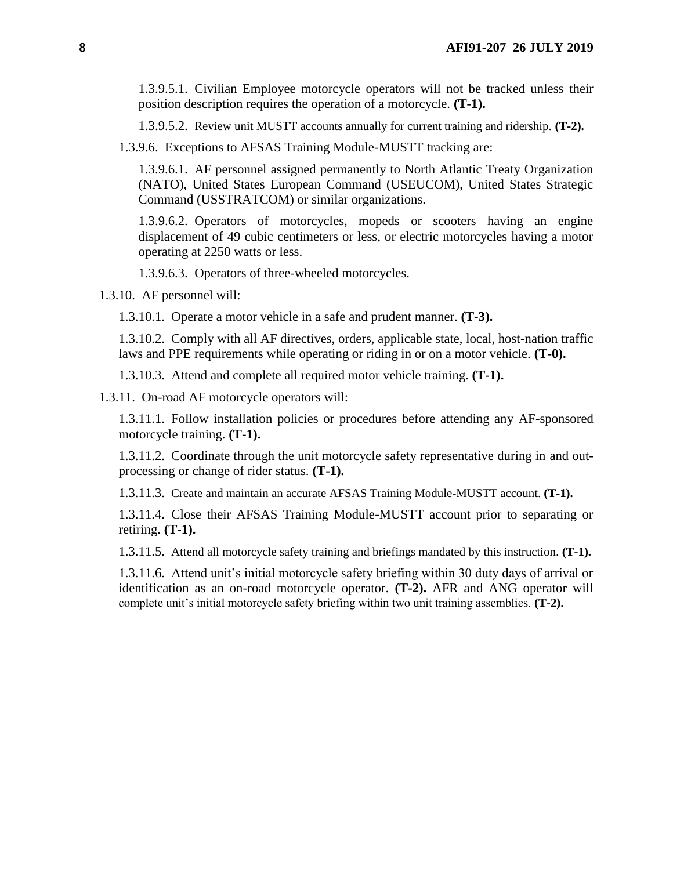1.3.9.5.1. Civilian Employee motorcycle operators will not be tracked unless their position description requires the operation of a motorcycle. **(T-1).**

1.3.9.5.2. Review unit MUSTT accounts annually for current training and ridership. **(T-2).**

1.3.9.6. Exceptions to AFSAS Training Module-MUSTT tracking are:

1.3.9.6.1. AF personnel assigned permanently to North Atlantic Treaty Organization (NATO), United States European Command (USEUCOM), United States Strategic Command (USSTRATCOM) or similar organizations.

1.3.9.6.2. Operators of motorcycles, mopeds or scooters having an engine displacement of 49 cubic centimeters or less, or electric motorcycles having a motor operating at 2250 watts or less.

1.3.9.6.3. Operators of three-wheeled motorcycles.

1.3.10. AF personnel will:

1.3.10.1. Operate a motor vehicle in a safe and prudent manner. **(T-3).**

1.3.10.2. Comply with all AF directives, orders, applicable state, local, host-nation traffic laws and PPE requirements while operating or riding in or on a motor vehicle. **(T-0).**

1.3.10.3. Attend and complete all required motor vehicle training. **(T-1).**

1.3.11. On-road AF motorcycle operators will:

1.3.11.1. Follow installation policies or procedures before attending any AF-sponsored motorcycle training. **(T-1).**

1.3.11.2. Coordinate through the unit motorcycle safety representative during in and outprocessing or change of rider status. **(T-1).**

1.3.11.3. Create and maintain an accurate AFSAS Training Module-MUSTT account. **(T-1).**

1.3.11.4. Close their AFSAS Training Module-MUSTT account prior to separating or retiring. **(T-1).**

1.3.11.5. Attend all motorcycle safety training and briefings mandated by this instruction. **(T-1).**

1.3.11.6. Attend unit's initial motorcycle safety briefing within 30 duty days of arrival or identification as an on-road motorcycle operator. **(T-2).** AFR and ANG operator will complete unit's initial motorcycle safety briefing within two unit training assemblies. **(T-2).**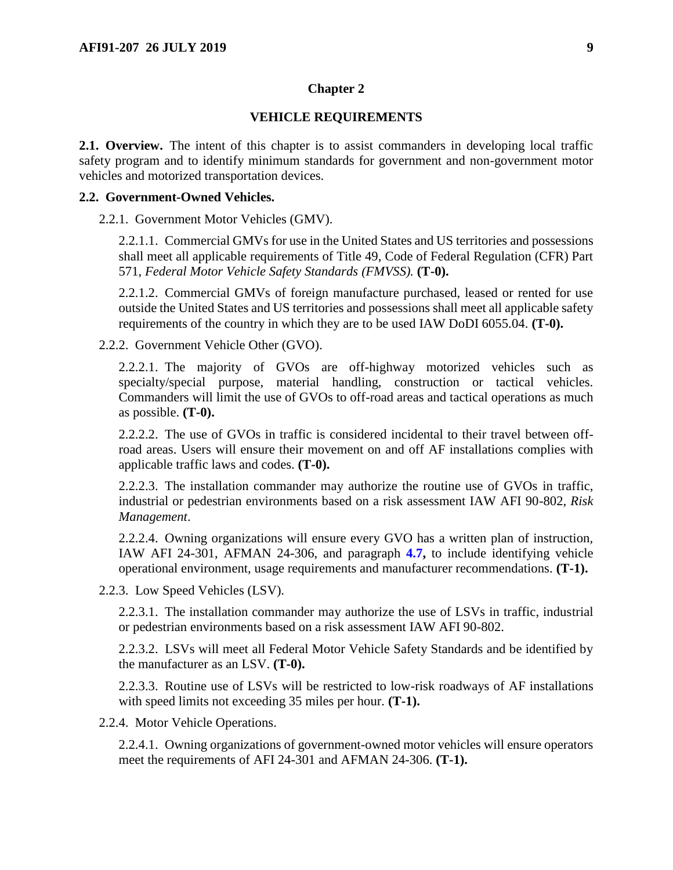#### **Chapter 2**

#### **VEHICLE REQUIREMENTS**

<span id="page-8-1"></span><span id="page-8-0"></span>**2.1. Overview.** The intent of this chapter is to assist commanders in developing local traffic safety program and to identify minimum standards for government and non-government motor vehicles and motorized transportation devices.

#### <span id="page-8-2"></span>**2.2. Government-Owned Vehicles.**

2.2.1. Government Motor Vehicles (GMV).

2.2.1.1. Commercial GMVs for use in the United States and US territories and possessions shall meet all applicable requirements of Title 49, Code of Federal Regulation (CFR) Part 571, *Federal Motor Vehicle Safety Standards (FMVSS).* **(T-0).**

2.2.1.2. Commercial GMVs of foreign manufacture purchased, leased or rented for use outside the United States and US territories and possessions shall meet all applicable safety requirements of the country in which they are to be used IAW DoDI 6055.04. **(T-0).**

2.2.2. Government Vehicle Other (GVO).

2.2.2.1. The majority of GVOs are off-highway motorized vehicles such as specialty/special purpose, material handling, construction or tactical vehicles. Commanders will limit the use of GVOs to off-road areas and tactical operations as much as possible. **(T-0).**

2.2.2.2. The use of GVOs in traffic is considered incidental to their travel between offroad areas. Users will ensure their movement on and off AF installations complies with applicable traffic laws and codes. **(T-0).**

2.2.2.3. The installation commander may authorize the routine use of GVOs in traffic, industrial or pedestrian environments based on a risk assessment IAW AFI 90-802, *Risk Management*.

<span id="page-8-3"></span>2.2.2.4. Owning organizations will ensure every GVO has a written plan of instruction, IAW AFI 24-301, AFMAN 24-306, and paragraph **[4.7,](#page-17-1)** to include identifying vehicle operational environment, usage requirements and manufacturer recommendations. **(T-1).**

2.2.3. Low Speed Vehicles (LSV).

2.2.3.1. The installation commander may authorize the use of LSVs in traffic, industrial or pedestrian environments based on a risk assessment IAW AFI 90-802.

2.2.3.2. LSVs will meet all Federal Motor Vehicle Safety Standards and be identified by the manufacturer as an LSV. **(T-0).**

2.2.3.3. Routine use of LSVs will be restricted to low-risk roadways of AF installations with speed limits not exceeding 35 miles per hour. **(T-1).**

2.2.4. Motor Vehicle Operations.

2.2.4.1. Owning organizations of government-owned motor vehicles will ensure operators meet the requirements of AFI 24-301 and AFMAN 24-306. **(T-1).**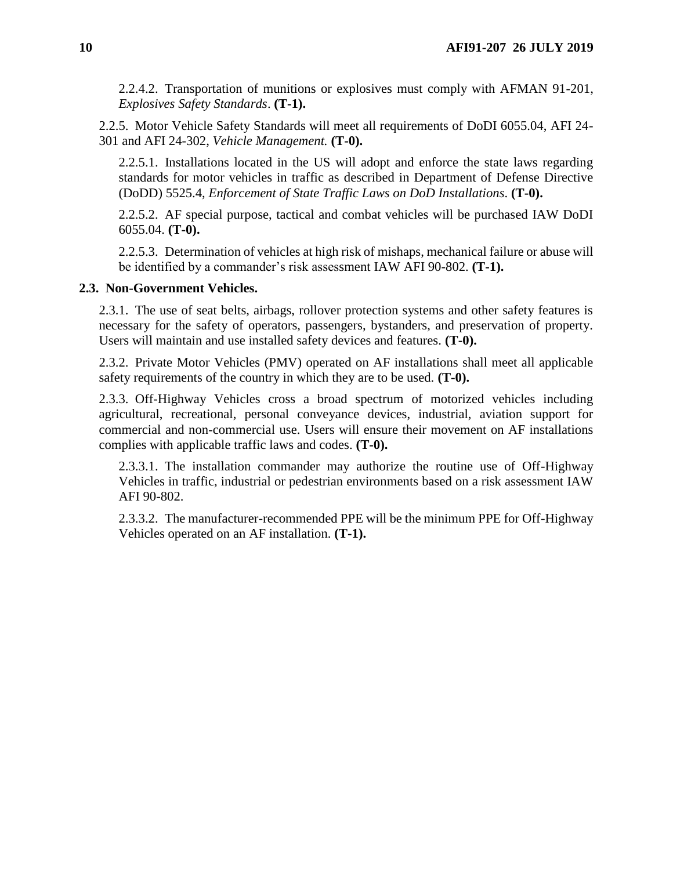2.2.4.2. Transportation of munitions or explosives must comply with AFMAN 91-201, *Explosives Safety Standards*. **(T-1).**

2.2.5. Motor Vehicle Safety Standards will meet all requirements of DoDI 6055.04, AFI 24- 301 and AFI 24-302, *Vehicle Management.* **(T-0).**

2.2.5.1. Installations located in the US will adopt and enforce the state laws regarding standards for motor vehicles in traffic as described in Department of Defense Directive (DoDD) 5525.4, *Enforcement of State Traffic Laws on DoD Installations*. **(T-0).**

2.2.5.2. AF special purpose, tactical and combat vehicles will be purchased IAW DoDI 6055.04. **(T-0).**

2.2.5.3. Determination of vehicles at high risk of mishaps, mechanical failure or abuse will be identified by a commander's risk assessment IAW AFI 90-802. **(T-1).**

#### <span id="page-9-0"></span>**2.3. Non-Government Vehicles.**

2.3.1. The use of seat belts, airbags, rollover protection systems and other safety features is necessary for the safety of operators, passengers, bystanders, and preservation of property. Users will maintain and use installed safety devices and features. **(T-0).**

2.3.2. Private Motor Vehicles (PMV) operated on AF installations shall meet all applicable safety requirements of the country in which they are to be used. **(T-0).**

2.3.3. Off-Highway Vehicles cross a broad spectrum of motorized vehicles including agricultural, recreational, personal conveyance devices, industrial, aviation support for commercial and non-commercial use. Users will ensure their movement on AF installations complies with applicable traffic laws and codes. **(T-0).**

2.3.3.1. The installation commander may authorize the routine use of Off-Highway Vehicles in traffic, industrial or pedestrian environments based on a risk assessment IAW AFI 90-802.

2.3.3.2. The manufacturer-recommended PPE will be the minimum PPE for Off-Highway Vehicles operated on an AF installation. **(T-1).**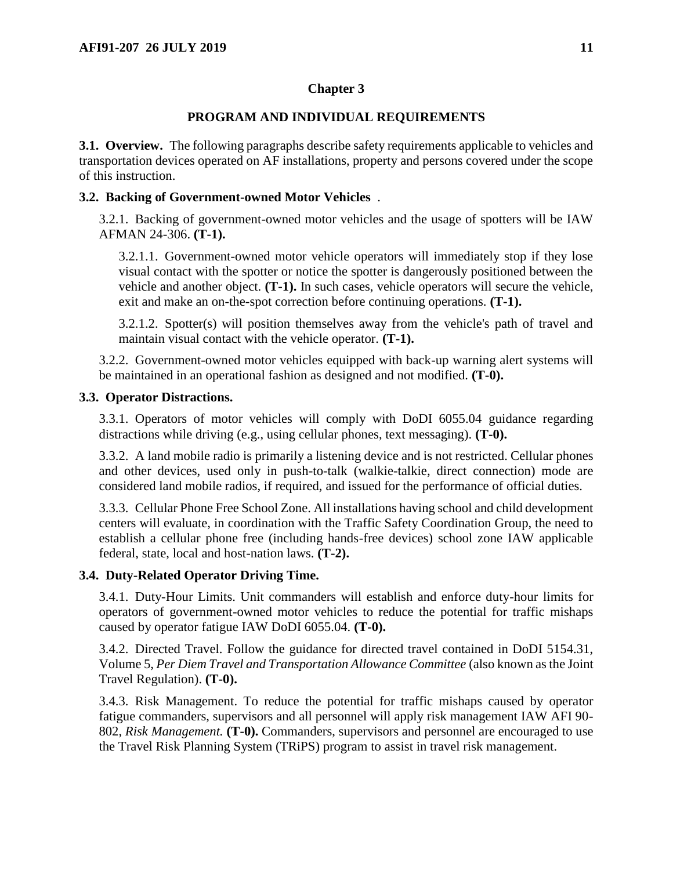## **Chapter 3**

## **PROGRAM AND INDIVIDUAL REQUIREMENTS**

<span id="page-10-1"></span><span id="page-10-0"></span>**3.1. Overview.** The following paragraphs describe safety requirements applicable to vehicles and transportation devices operated on AF installations, property and persons covered under the scope of this instruction.

## <span id="page-10-2"></span>**3.2. Backing of Government-owned Motor Vehicles** .

3.2.1. Backing of government-owned motor vehicles and the usage of spotters will be IAW AFMAN 24-306. **(T-1).**

3.2.1.1. Government-owned motor vehicle operators will immediately stop if they lose visual contact with the spotter or notice the spotter is dangerously positioned between the vehicle and another object. **(T-1).** In such cases, vehicle operators will secure the vehicle, exit and make an on-the-spot correction before continuing operations. **(T-1).**

3.2.1.2. Spotter(s) will position themselves away from the vehicle's path of travel and maintain visual contact with the vehicle operator. **(T-1).**

3.2.2. Government-owned motor vehicles equipped with back-up warning alert systems will be maintained in an operational fashion as designed and not modified. **(T-0).**

## <span id="page-10-3"></span>**3.3. Operator Distractions.**

3.3.1. Operators of motor vehicles will comply with DoDI 6055.04 guidance regarding distractions while driving (e.g., using cellular phones, text messaging). **(T-0).**

3.3.2. A land mobile radio is primarily a listening device and is not restricted. Cellular phones and other devices, used only in push-to-talk (walkie-talkie, direct connection) mode are considered land mobile radios, if required, and issued for the performance of official duties.

3.3.3. Cellular Phone Free School Zone. All installations having school and child development centers will evaluate, in coordination with the Traffic Safety Coordination Group, the need to establish a cellular phone free (including hands-free devices) school zone IAW applicable federal, state, local and host-nation laws. **(T-2).**

## <span id="page-10-6"></span><span id="page-10-4"></span>**3.4. Duty-Related Operator Driving Time.**

3.4.1. Duty-Hour Limits. Unit commanders will establish and enforce duty-hour limits for operators of government-owned motor vehicles to reduce the potential for traffic mishaps caused by operator fatigue IAW DoDI 6055.04. **(T-0).**

3.4.2. Directed Travel. Follow the guidance for directed travel contained in DoDI 5154.31, Volume 5, *Per Diem Travel and Transportation Allowance Committee* (also known as the Joint Travel Regulation). **(T-0).**

<span id="page-10-5"></span>3.4.3. Risk Management. To reduce the potential for traffic mishaps caused by operator fatigue commanders, supervisors and all personnel will apply risk management IAW AFI 90- 802, *Risk Management.* **(T-0).** Commanders, supervisors and personnel are encouraged to use the Travel Risk Planning System (TRiPS) program to assist in travel risk management.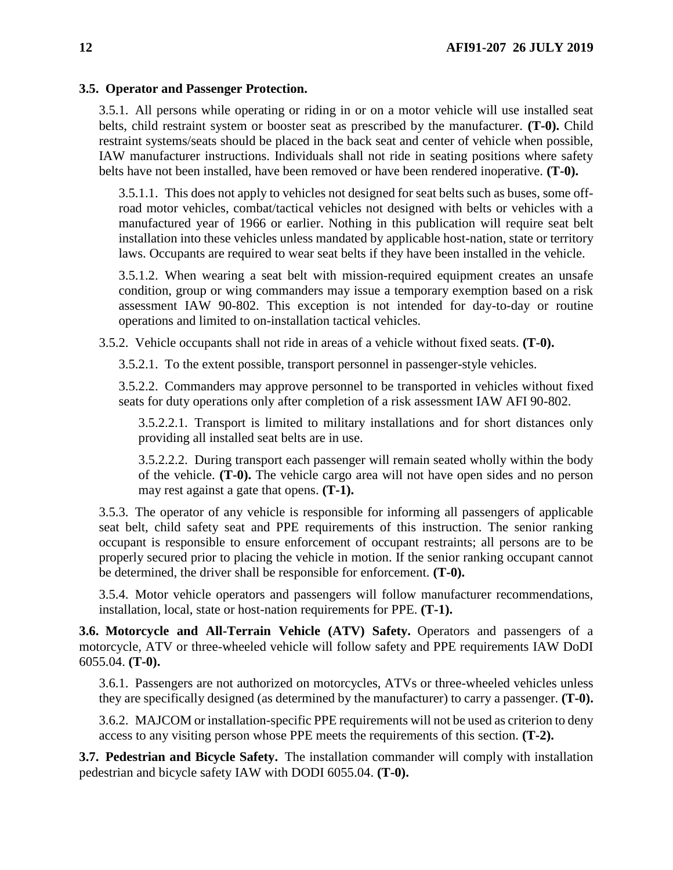### <span id="page-11-2"></span>**3.5. Operator and Passenger Protection.**

3.5.1. All persons while operating or riding in or on a motor vehicle will use installed seat belts, child restraint system or booster seat as prescribed by the manufacturer. **(T-0).** Child restraint systems/seats should be placed in the back seat and center of vehicle when possible, IAW manufacturer instructions. Individuals shall not ride in seating positions where safety belts have not been installed, have been removed or have been rendered inoperative. **(T-0).**

3.5.1.1. This does not apply to vehicles not designed for seat belts such as buses, some offroad motor vehicles, combat/tactical vehicles not designed with belts or vehicles with a manufactured year of 1966 or earlier. Nothing in this publication will require seat belt installation into these vehicles unless mandated by applicable host-nation, state or territory laws. Occupants are required to wear seat belts if they have been installed in the vehicle.

3.5.1.2. When wearing a seat belt with mission-required equipment creates an unsafe condition, group or wing commanders may issue a temporary exemption based on a risk assessment IAW 90-802. This exception is not intended for day-to-day or routine operations and limited to on-installation tactical vehicles.

3.5.2. Vehicle occupants shall not ride in areas of a vehicle without fixed seats. **(T-0).**

3.5.2.1. To the extent possible, transport personnel in passenger-style vehicles.

3.5.2.2. Commanders may approve personnel to be transported in vehicles without fixed seats for duty operations only after completion of a risk assessment IAW AFI 90-802.

3.5.2.2.1. Transport is limited to military installations and for short distances only providing all installed seat belts are in use.

3.5.2.2.2. During transport each passenger will remain seated wholly within the body of the vehicle. **(T-0).** The vehicle cargo area will not have open sides and no person may rest against a gate that opens. **(T-1).**

3.5.3. The operator of any vehicle is responsible for informing all passengers of applicable seat belt, child safety seat and PPE requirements of this instruction. The senior ranking occupant is responsible to ensure enforcement of occupant restraints; all persons are to be properly secured prior to placing the vehicle in motion. If the senior ranking occupant cannot be determined, the driver shall be responsible for enforcement. **(T-0).**

3.5.4. Motor vehicle operators and passengers will follow manufacturer recommendations, installation, local, state or host-nation requirements for PPE. **(T-1).**

<span id="page-11-0"></span>**3.6. Motorcycle and All-Terrain Vehicle (ATV) Safety.** Operators and passengers of a motorcycle, ATV or three-wheeled vehicle will follow safety and PPE requirements IAW DoDI 6055.04. **(T-0).**

3.6.1. Passengers are not authorized on motorcycles, ATVs or three-wheeled vehicles unless they are specifically designed (as determined by the manufacturer) to carry a passenger. **(T-0).**

3.6.2. MAJCOM or installation-specific PPE requirements will not be used as criterion to deny access to any visiting person whose PPE meets the requirements of this section. **(T-2).**

<span id="page-11-1"></span>**3.7. Pedestrian and Bicycle Safety.** The installation commander will comply with installation pedestrian and bicycle safety IAW with DODI 6055.04. **(T-0).**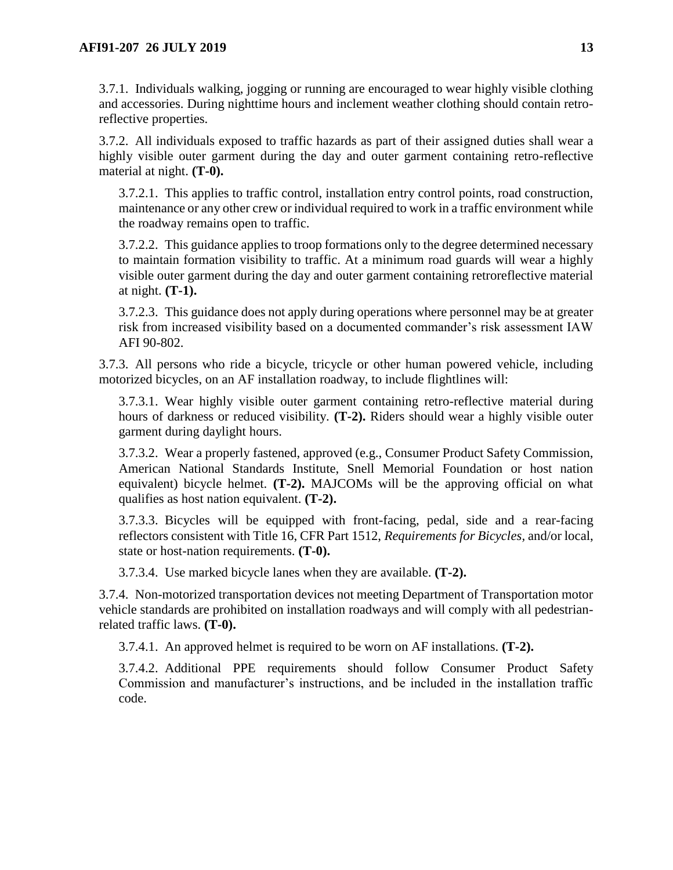3.7.1. Individuals walking, jogging or running are encouraged to wear highly visible clothing and accessories. During nighttime hours and inclement weather clothing should contain retroreflective properties.

3.7.2. All individuals exposed to traffic hazards as part of their assigned duties shall wear a highly visible outer garment during the day and outer garment containing retro-reflective material at night. **(T-0).**

3.7.2.1. This applies to traffic control, installation entry control points, road construction, maintenance or any other crew or individual required to work in a traffic environment while the roadway remains open to traffic.

3.7.2.2. This guidance applies to troop formations only to the degree determined necessary to maintain formation visibility to traffic. At a minimum road guards will wear a highly visible outer garment during the day and outer garment containing retroreflective material at night. **(T-1).**

3.7.2.3. This guidance does not apply during operations where personnel may be at greater risk from increased visibility based on a documented commander's risk assessment IAW AFI 90-802.

3.7.3. All persons who ride a bicycle, tricycle or other human powered vehicle, including motorized bicycles, on an AF installation roadway, to include flightlines will:

3.7.3.1. Wear highly visible outer garment containing retro-reflective material during hours of darkness or reduced visibility. **(T-2).** Riders should wear a highly visible outer garment during daylight hours.

3.7.3.2. Wear a properly fastened, approved (e.g., Consumer Product Safety Commission, American National Standards Institute, Snell Memorial Foundation or host nation equivalent) bicycle helmet. **(T-2).** MAJCOMs will be the approving official on what qualifies as host nation equivalent. **(T-2).**

3.7.3.3. Bicycles will be equipped with front-facing, pedal, side and a rear-facing reflectors consistent with Title 16, CFR Part 1512, *Requirements for Bicycles,* and/or local, state or host-nation requirements. **(T-0).**

3.7.3.4. Use marked bicycle lanes when they are available. **(T-2).**

3.7.4. Non-motorized transportation devices not meeting Department of Transportation motor vehicle standards are prohibited on installation roadways and will comply with all pedestrianrelated traffic laws. **(T-0).**

3.7.4.1. An approved helmet is required to be worn on AF installations. **(T-2).**

3.7.4.2. Additional PPE requirements should follow Consumer Product Safety Commission and manufacturer's instructions, and be included in the installation traffic code.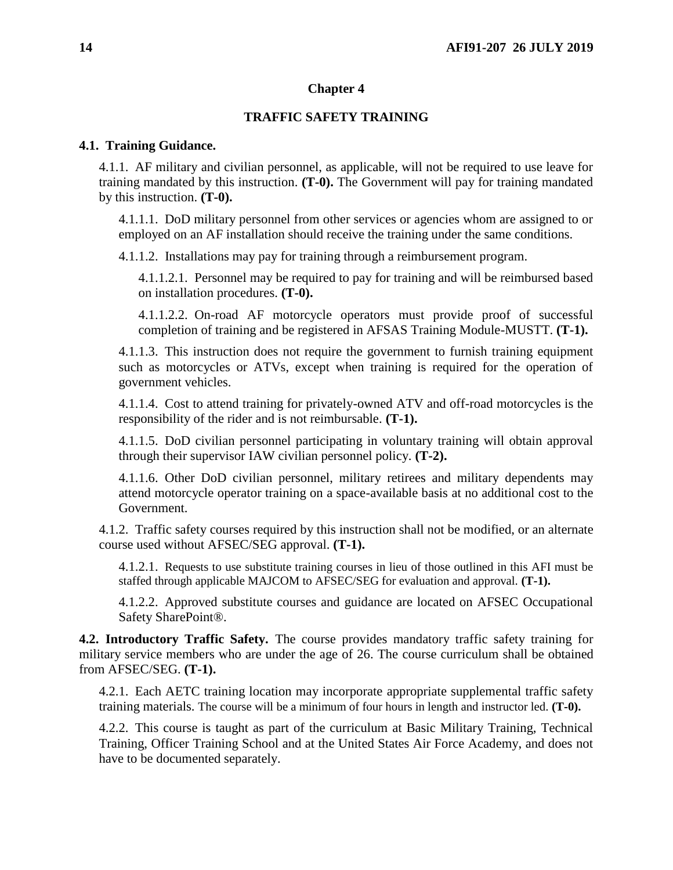### **Chapter 4**

## **TRAFFIC SAFETY TRAINING**

#### <span id="page-13-1"></span><span id="page-13-0"></span>**4.1. Training Guidance.**

4.1.1. AF military and civilian personnel, as applicable, will not be required to use leave for training mandated by this instruction. **(T-0).** The Government will pay for training mandated by this instruction. **(T-0).**

4.1.1.1. DoD military personnel from other services or agencies whom are assigned to or employed on an AF installation should receive the training under the same conditions.

4.1.1.2. Installations may pay for training through a reimbursement program.

4.1.1.2.1. Personnel may be required to pay for training and will be reimbursed based on installation procedures. **(T-0).**

4.1.1.2.2. On-road AF motorcycle operators must provide proof of successful completion of training and be registered in AFSAS Training Module-MUSTT. **(T-1).**

<span id="page-13-3"></span>4.1.1.3. This instruction does not require the government to furnish training equipment such as motorcycles or ATVs, except when training is required for the operation of government vehicles.

4.1.1.4. Cost to attend training for privately-owned ATV and off-road motorcycles is the responsibility of the rider and is not reimbursable. **(T-1).**

4.1.1.5. DoD civilian personnel participating in voluntary training will obtain approval through their supervisor IAW civilian personnel policy. **(T-2).**

4.1.1.6. Other DoD civilian personnel, military retirees and military dependents may attend motorcycle operator training on a space-available basis at no additional cost to the Government.

<span id="page-13-4"></span>4.1.2. Traffic safety courses required by this instruction shall not be modified, or an alternate course used without AFSEC/SEG approval. **(T-1).**

4.1.2.1. Requests to use substitute training courses in lieu of those outlined in this AFI must be staffed through applicable MAJCOM to AFSEC/SEG for evaluation and approval. **(T-1).**

4.1.2.2. Approved substitute courses and guidance are located on AFSEC Occupational Safety SharePoint®.

<span id="page-13-2"></span>**4.2. Introductory Traffic Safety.** The course provides mandatory traffic safety training for military service members who are under the age of 26. The course curriculum shall be obtained from AFSEC/SEG. **(T-1).**

4.2.1. Each AETC training location may incorporate appropriate supplemental traffic safety training materials. The course will be a minimum of four hours in length and instructor led. **(T-0).**

4.2.2. This course is taught as part of the curriculum at Basic Military Training, Technical Training, Officer Training School and at the United States Air Force Academy, and does not have to be documented separately.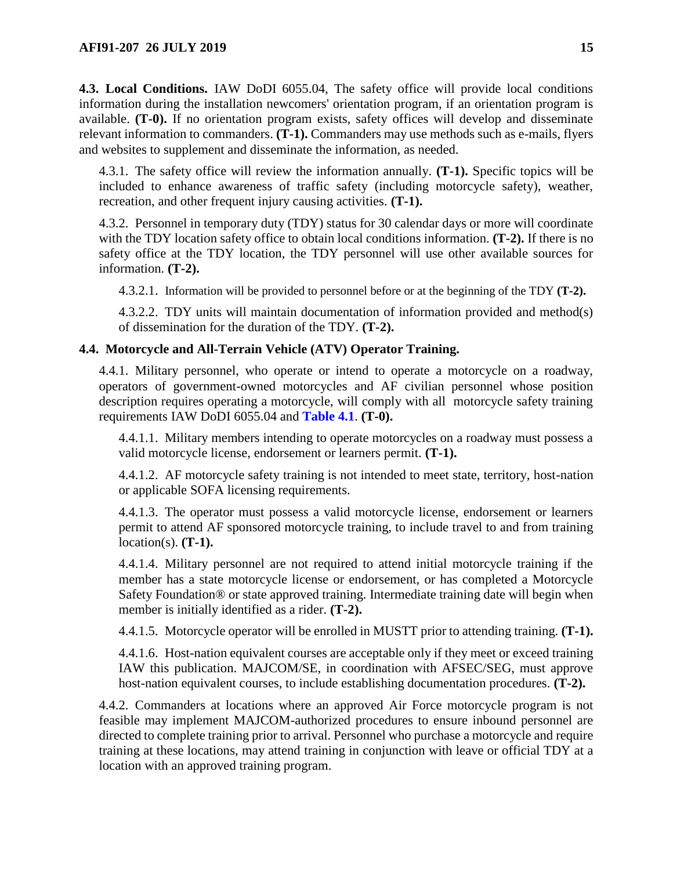<span id="page-14-0"></span>**4.3. Local Conditions.** IAW DoDI 6055.04, The safety office will provide local conditions information during the installation newcomers' orientation program, if an orientation program is available. **(T-0).** If no orientation program exists, safety offices will develop and disseminate relevant information to commanders. **(T-1).** Commanders may use methods such as e-mails, flyers and websites to supplement and disseminate the information, as needed.

4.3.1. The safety office will review the information annually. **(T-1).** Specific topics will be included to enhance awareness of traffic safety (including motorcycle safety), weather, recreation, and other frequent injury causing activities. **(T-1).**

4.3.2. Personnel in temporary duty (TDY) status for 30 calendar days or more will coordinate with the TDY location safety office to obtain local conditions information. **(T-2).** If there is no safety office at the TDY location, the TDY personnel will use other available sources for information. **(T-2).**

4.3.2.1. Information will be provided to personnel before or at the beginning of the TDY **(T-2).**

4.3.2.2. TDY units will maintain documentation of information provided and method(s) of dissemination for the duration of the TDY. **(T-2).**

## <span id="page-14-2"></span><span id="page-14-1"></span>**4.4. Motorcycle and All-Terrain Vehicle (ATV) Operator Training.**

4.4.1. Military personnel, who operate or intend to operate a motorcycle on a roadway, operators of government-owned motorcycles and AF civilian personnel whose position description requires operating a motorcycle, will comply with all motorcycle safety training requirements IAW DoDI 6055.04 and **[Table 4.1](#page-15-0)**. **(T-0).**

4.4.1.1. Military members intending to operate motorcycles on a roadway must possess a valid motorcycle license, endorsement or learners permit. **(T-1).**

4.4.1.2. AF motorcycle safety training is not intended to meet state, territory, host-nation or applicable SOFA licensing requirements.

4.4.1.3. The operator must possess a valid motorcycle license, endorsement or learners permit to attend AF sponsored motorcycle training, to include travel to and from training location(s). **(T-1).**

4.4.1.4. Military personnel are not required to attend initial motorcycle training if the member has a state motorcycle license or endorsement, or has completed a Motorcycle Safety Foundation® or state approved training. Intermediate training date will begin when member is initially identified as a rider. **(T-2).**

4.4.1.5. Motorcycle operator will be enrolled in MUSTT prior to attending training. **(T-1).**

4.4.1.6. Host-nation equivalent courses are acceptable only if they meet or exceed training IAW this publication. MAJCOM/SE, in coordination with AFSEC/SEG, must approve host-nation equivalent courses, to include establishing documentation procedures. **(T-2).**

4.4.2. Commanders at locations where an approved Air Force motorcycle program is not feasible may implement MAJCOM-authorized procedures to ensure inbound personnel are directed to complete training prior to arrival. Personnel who purchase a motorcycle and require training at these locations, may attend training in conjunction with leave or official TDY at a location with an approved training program.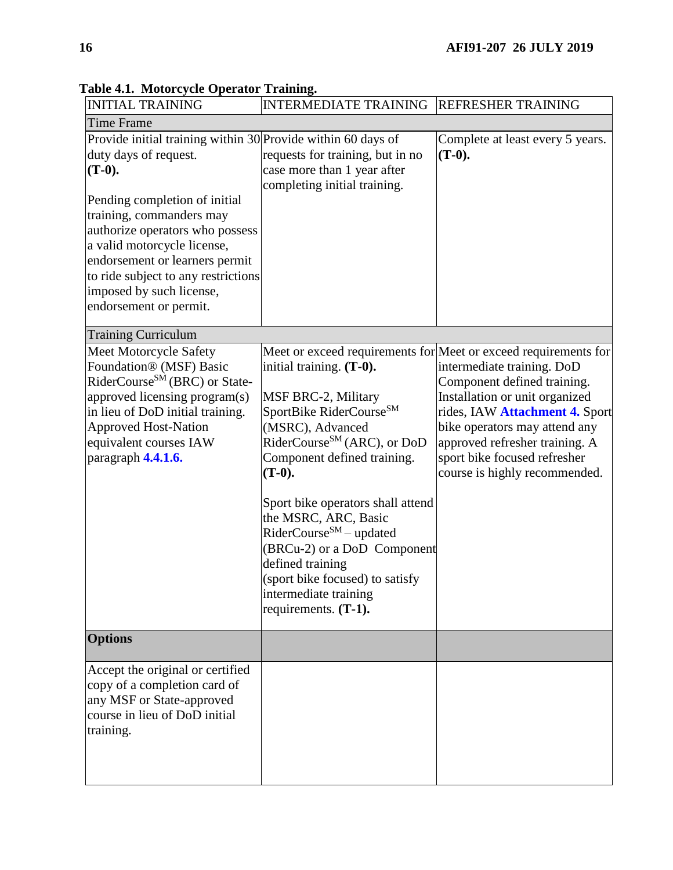| <b>INITIAL TRAINING</b>                                                                                                                                                                                                                                                                                                                                         | <b>INTERMEDIATE TRAINING</b>                                                                                                                                                                                                                                                                                                                                                                                                                        | <b>REFRESHER TRAINING</b>                                                                                                                                                                                                                                                                                                            |
|-----------------------------------------------------------------------------------------------------------------------------------------------------------------------------------------------------------------------------------------------------------------------------------------------------------------------------------------------------------------|-----------------------------------------------------------------------------------------------------------------------------------------------------------------------------------------------------------------------------------------------------------------------------------------------------------------------------------------------------------------------------------------------------------------------------------------------------|--------------------------------------------------------------------------------------------------------------------------------------------------------------------------------------------------------------------------------------------------------------------------------------------------------------------------------------|
| Time Frame                                                                                                                                                                                                                                                                                                                                                      |                                                                                                                                                                                                                                                                                                                                                                                                                                                     |                                                                                                                                                                                                                                                                                                                                      |
| Provide initial training within 30 Provide within 60 days of<br>duty days of request.<br>$(T-0).$<br>Pending completion of initial<br>training, commanders may<br>authorize operators who possess<br>a valid motorcycle license,<br>endorsement or learners permit<br>to ride subject to any restrictions<br>imposed by such license,<br>endorsement or permit. | requests for training, but in no<br>case more than 1 year after<br>completing initial training.                                                                                                                                                                                                                                                                                                                                                     | Complete at least every 5 years.<br>$(T-0).$                                                                                                                                                                                                                                                                                         |
| <b>Training Curriculum</b>                                                                                                                                                                                                                                                                                                                                      |                                                                                                                                                                                                                                                                                                                                                                                                                                                     |                                                                                                                                                                                                                                                                                                                                      |
| Meet Motorcycle Safety<br>Foundation® (MSF) Basic<br>RiderCourse <sup>SM</sup> (BRC) or State-<br>approved licensing program(s)<br>in lieu of DoD initial training.<br><b>Approved Host-Nation</b><br>equivalent courses IAW<br>paragraph 4.4.1.6.                                                                                                              | initial training. (T-0).<br><b>MSF BRC-2, Military</b><br>SportBike RiderCourse <sup>SM</sup><br>(MSRC), Advanced<br>RiderCourse <sup>SM</sup> (ARC), or DoD<br>Component defined training.<br>$(T-0)$ .<br>Sport bike operators shall attend<br>the MSRC, ARC, Basic<br>RiderCourse <sup>SM</sup> – updated<br>(BRCu-2) or a DoD Component<br>defined training<br>(sport bike focused) to satisfy<br>intermediate training<br>requirements. (T-1). | Meet or exceed requirements for Meet or exceed requirements for<br>intermediate training. DoD<br>Component defined training.<br>Installation or unit organized<br>rides, IAW Attachment 4. Sport<br>bike operators may attend any<br>approved refresher training. A<br>sport bike focused refresher<br>course is highly recommended. |
| <b>Options</b>                                                                                                                                                                                                                                                                                                                                                  |                                                                                                                                                                                                                                                                                                                                                                                                                                                     |                                                                                                                                                                                                                                                                                                                                      |
| Accept the original or certified<br>copy of a completion card of<br>any MSF or State-approved<br>course in lieu of DoD initial<br>training.                                                                                                                                                                                                                     |                                                                                                                                                                                                                                                                                                                                                                                                                                                     |                                                                                                                                                                                                                                                                                                                                      |

<span id="page-15-0"></span>**Table 4.1. Motorcycle Operator Training.**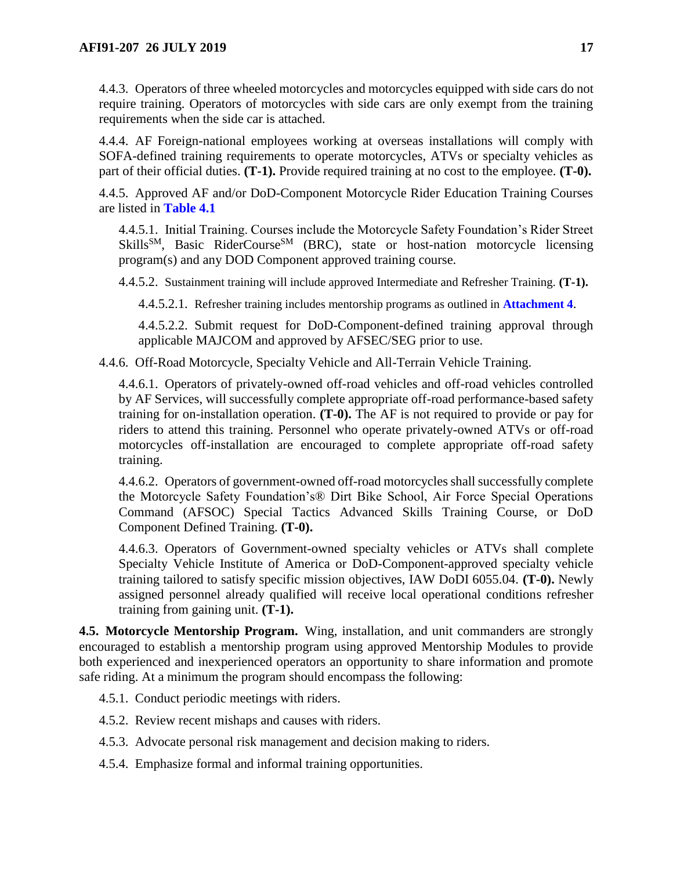4.4.3. Operators of three wheeled motorcycles and motorcycles equipped with side cars do not require training. Operators of motorcycles with side cars are only exempt from the training requirements when the side car is attached.

4.4.4. AF Foreign-national employees working at overseas installations will comply with SOFA-defined training requirements to operate motorcycles, ATVs or specialty vehicles as part of their official duties. **(T-1).** Provide required training at no cost to the employee. **(T-0).**

<span id="page-16-1"></span>4.4.5. Approved AF and/or DoD-Component Motorcycle Rider Education Training Courses are listed in **[Table 4.1](#page-15-0)**

4.4.5.1. Initial Training. Courses include the Motorcycle Safety Foundation's Rider Street  $Skills<sup>SM</sup>$ , Basic RiderCourse<sup>SM</sup> (BRC), state or host-nation motorcycle licensing program(s) and any DOD Component approved training course.

4.4.5.2. Sustainment training will include approved Intermediate and Refresher Training. **(T-1).**

4.4.5.2.1. Refresher training includes mentorship programs as outlined in **[Attachment 4](#page-28-0)**.

4.4.5.2.2. Submit request for DoD-Component-defined training approval through applicable MAJCOM and approved by AFSEC/SEG prior to use.

4.4.6. Off-Road Motorcycle, Specialty Vehicle and All-Terrain Vehicle Training.

4.4.6.1. Operators of privately-owned off-road vehicles and off-road vehicles controlled by AF Services, will successfully complete appropriate off-road performance-based safety training for on-installation operation. **(T-0).** The AF is not required to provide or pay for riders to attend this training. Personnel who operate privately-owned ATVs or off-road motorcycles off-installation are encouraged to complete appropriate off-road safety training.

4.4.6.2. Operators of government-owned off-road motorcycles shall successfully complete the Motorcycle Safety Foundation's® Dirt Bike School, Air Force Special Operations Command (AFSOC) Special Tactics Advanced Skills Training Course, or DoD Component Defined Training. **(T-0).**

4.4.6.3. Operators of Government-owned specialty vehicles or ATVs shall complete Specialty Vehicle Institute of America or DoD-Component-approved specialty vehicle training tailored to satisfy specific mission objectives, IAW DoDI 6055.04. **(T-0).** Newly assigned personnel already qualified will receive local operational conditions refresher training from gaining unit. **(T-1).**

<span id="page-16-0"></span>**4.5. Motorcycle Mentorship Program.** Wing, installation, and unit commanders are strongly encouraged to establish a mentorship program using approved Mentorship Modules to provide both experienced and inexperienced operators an opportunity to share information and promote safe riding. At a minimum the program should encompass the following:

4.5.1. Conduct periodic meetings with riders.

4.5.2. Review recent mishaps and causes with riders.

4.5.3. Advocate personal risk management and decision making to riders.

4.5.4. Emphasize formal and informal training opportunities.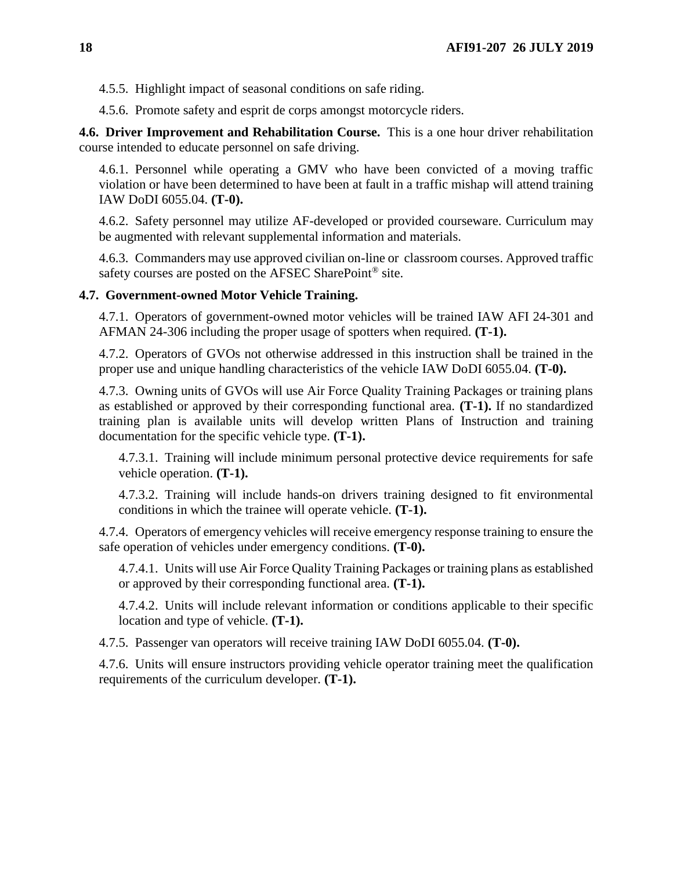4.5.5. Highlight impact of seasonal conditions on safe riding.

4.5.6. Promote safety and esprit de corps amongst motorcycle riders.

<span id="page-17-0"></span>**4.6. Driver Improvement and Rehabilitation Course.** This is a one hour driver rehabilitation course intended to educate personnel on safe driving.

4.6.1. Personnel while operating a GMV who have been convicted of a moving traffic violation or have been determined to have been at fault in a traffic mishap will attend training IAW DoDI 6055.04. **(T-0).**

4.6.2. Safety personnel may utilize AF-developed or provided courseware. Curriculum may be augmented with relevant supplemental information and materials.

4.6.3. Commanders may use approved civilian on-line or classroom courses. Approved traffic safety courses are posted on the AFSEC SharePoint® site.

### <span id="page-17-1"></span>**4.7. Government-owned Motor Vehicle Training.**

4.7.1. Operators of government-owned motor vehicles will be trained IAW AFI 24-301 and AFMAN 24-306 including the proper usage of spotters when required. **(T-1).**

4.7.2. Operators of GVOs not otherwise addressed in this instruction shall be trained in the proper use and unique handling characteristics of the vehicle IAW DoDI 6055.04. **(T-0).**

4.7.3. Owning units of GVOs will use Air Force Quality Training Packages or training plans as established or approved by their corresponding functional area. **(T-1).** If no standardized training plan is available units will develop written Plans of Instruction and training documentation for the specific vehicle type. **(T-1).**

4.7.3.1. Training will include minimum personal protective device requirements for safe vehicle operation. **(T-1).**

4.7.3.2. Training will include hands-on drivers training designed to fit environmental conditions in which the trainee will operate vehicle. **(T-1).**

4.7.4. Operators of emergency vehicles will receive emergency response training to ensure the safe operation of vehicles under emergency conditions. **(T-0).**

4.7.4.1. Units will use Air Force Quality Training Packages or training plans as established or approved by their corresponding functional area. **(T-1).**

4.7.4.2. Units will include relevant information or conditions applicable to their specific location and type of vehicle. **(T-1).**

4.7.5. Passenger van operators will receive training IAW DoDI 6055.04. **(T-0).**

4.7.6. Units will ensure instructors providing vehicle operator training meet the qualification requirements of the curriculum developer. **(T-1).**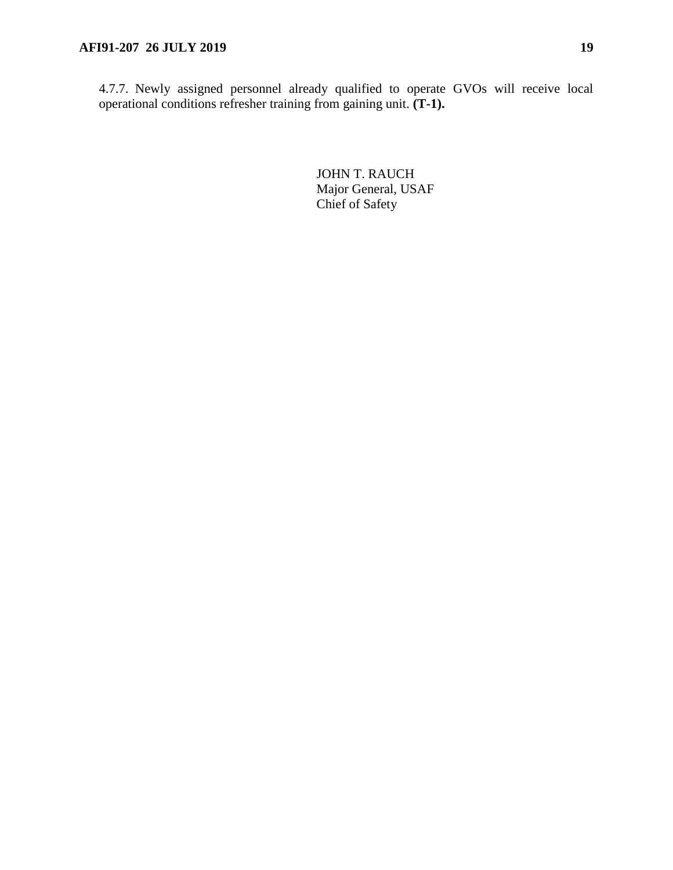4.7.7. Newly assigned personnel already qualified to operate GVOs will receive local operational conditions refresher training from gaining unit. **(T-1).**

> JOHN T. RAUCH Major General, USAF Chief of Safety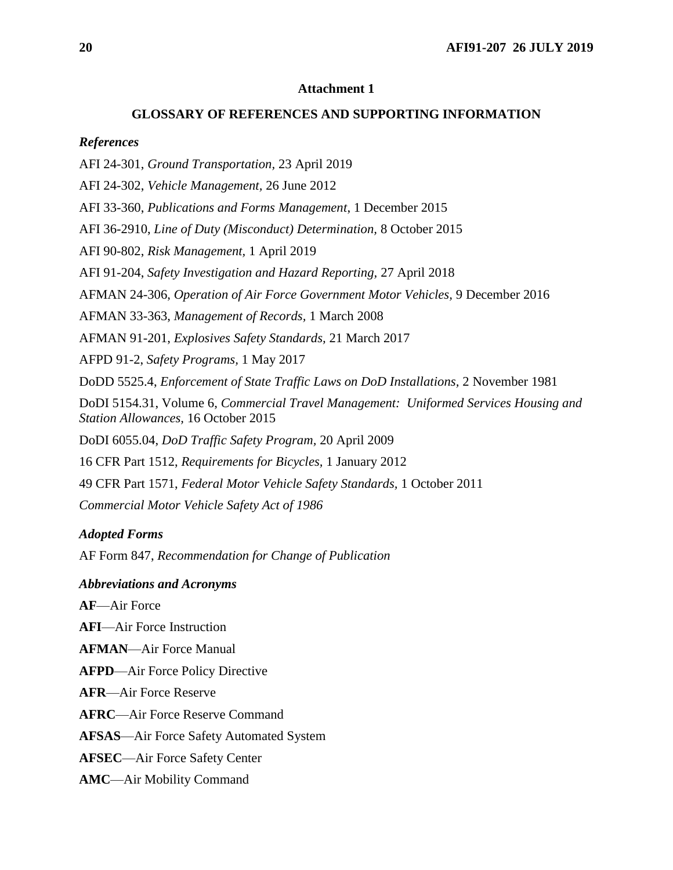#### **GLOSSARY OF REFERENCES AND SUPPORTING INFORMATION**

#### <span id="page-19-0"></span>*References*

AFI 24-301, *Ground Transportation,* 23 April 2019

AFI 24-302, *Vehicle Management,* 26 June 2012

AFI 33-360, *Publications and Forms Management*, 1 December 2015

AFI 36-2910, *Line of Duty (Misconduct) Determination,* 8 October 2015

AFI 90-802, *Risk Management,* 1 April 2019

AFI 91-204, *Safety Investigation and Hazard Reporting,* 27 April 2018

AFMAN 24-306, *Operation of Air Force Government Motor Vehicles,* 9 December 2016

AFMAN 33-363, *Management of Records,* 1 March 2008

AFMAN 91-201, *Explosives Safety Standards,* 21 March 2017

AFPD 91-2, *Safety Programs,* 1 May 2017

DoDD 5525.4, *Enforcement of State Traffic Laws on DoD Installations,* 2 November 1981

DoDI 5154.31, Volume 6, *Commercial Travel Management: Uniformed Services Housing and Station Allowances,* 16 October 2015

DoDI 6055.04, *DoD Traffic Safety Program,* 20 April 2009

16 CFR Part 1512, *Requirements for Bicycles,* 1 January 2012

49 CFR Part 1571, *Federal Motor Vehicle Safety Standards,* 1 October 2011

*Commercial Motor Vehicle Safety Act of 1986*

#### *Adopted Forms*

AF Form 847, *Recommendation for Change of Publication*

*Abbreviations and Acronyms*

**AF**—Air Force

**AFI**—Air Force Instruction

**AFMAN**—Air Force Manual

**AFPD**—Air Force Policy Directive

**AFR**—Air Force Reserve

**AFRC**—Air Force Reserve Command

**AFSAS**—Air Force Safety Automated System

**AFSEC**—Air Force Safety Center

**AMC**—Air Mobility Command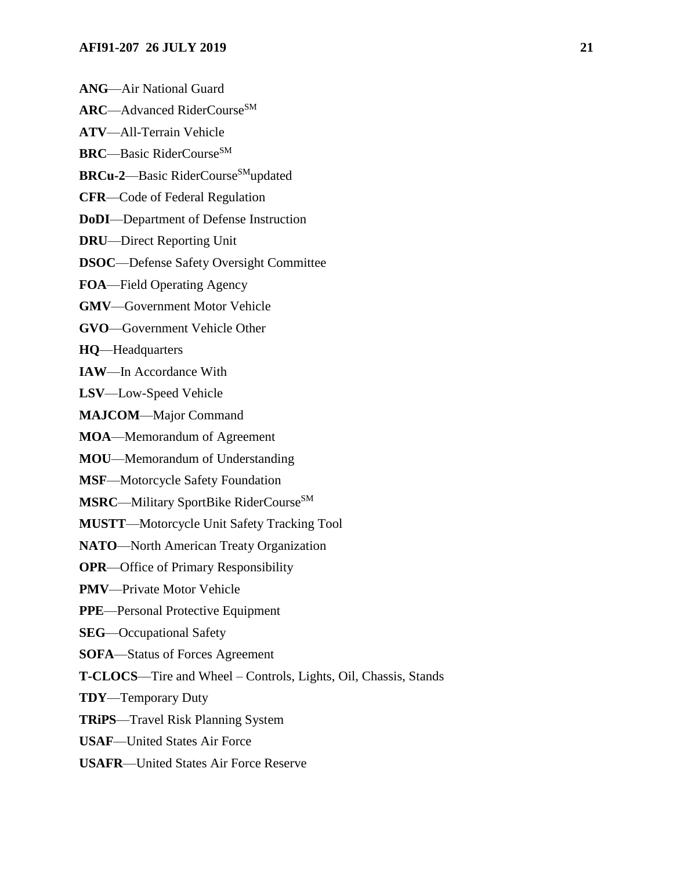- **ANG**—Air National Guard
- **ARC**—Advanced RiderCourse<sup>SM</sup>
- **ATV**—All-Terrain Vehicle
- **BRC**—Basic RiderCourse<sup>SM</sup>
- **BRCu-2**—Basic RiderCourse<sup>SM</sup>updated
- **CFR**—Code of Federal Regulation
- **DoDI**—Department of Defense Instruction
- **DRU**—Direct Reporting Unit
- **DSOC**—Defense Safety Oversight Committee
- **FOA**—Field Operating Agency
- **GMV**—Government Motor Vehicle
- **GVO**—Government Vehicle Other
- **HQ**—Headquarters
- **IAW**—In Accordance With
- **LSV**—Low-Speed Vehicle
- **MAJCOM**—Major Command
- **MOA**—Memorandum of Agreement
- **MOU**—Memorandum of Understanding
- **MSF**—Motorcycle Safety Foundation
- **MSRC—Military SportBike RiderCourse**SM
- **MUSTT**—Motorcycle Unit Safety Tracking Tool
- **NATO**—North American Treaty Organization
- **OPR**—Office of Primary Responsibility
- **PMV**—Private Motor Vehicle
- **PPE**—Personal Protective Equipment
- **SEG**—Occupational Safety
- **SOFA**—Status of Forces Agreement
- **T-CLOCS**—Tire and Wheel Controls, Lights, Oil, Chassis, Stands
- **TDY**—Temporary Duty
- **TRiPS**—Travel Risk Planning System
- **USAF**—United States Air Force
- **USAFR**—United States Air Force Reserve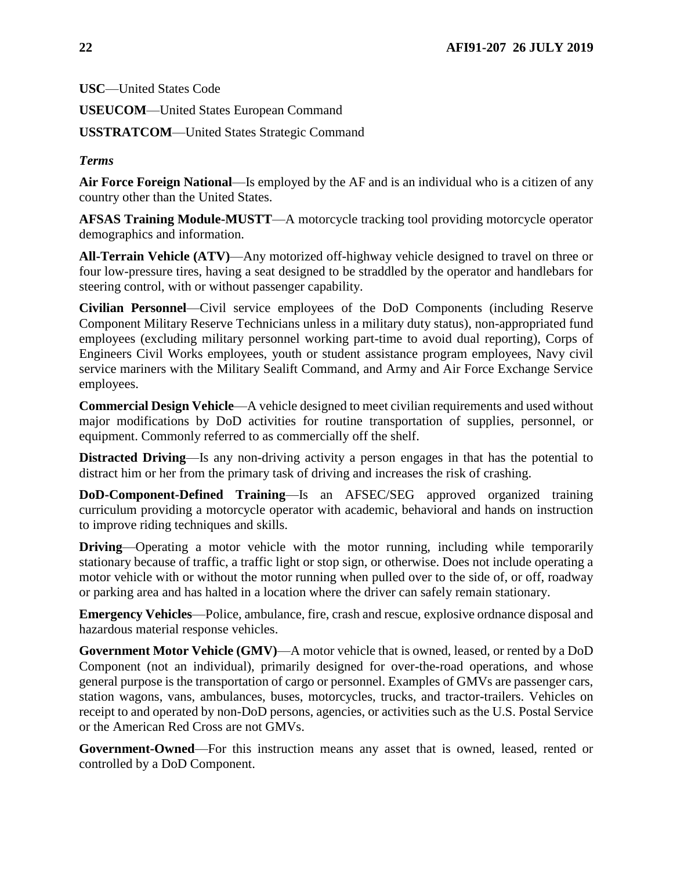**USC**—United States Code

**USEUCOM**—United States European Command

**USSTRATCOM**—United States Strategic Command

*Terms* 

**Air Force Foreign National**—Is employed by the AF and is an individual who is a citizen of any country other than the United States.

**AFSAS Training Module-MUSTT**—A motorcycle tracking tool providing motorcycle operator demographics and information.

**All-Terrain Vehicle (ATV)**—Any motorized off-highway vehicle designed to travel on three or four low-pressure tires, having a seat designed to be straddled by the operator and handlebars for steering control, with or without passenger capability.

**Civilian Personnel**—Civil service employees of the DoD Components (including Reserve Component Military Reserve Technicians unless in a military duty status), non-appropriated fund employees (excluding military personnel working part-time to avoid dual reporting), Corps of Engineers Civil Works employees, youth or student assistance program employees, Navy civil service mariners with the Military Sealift Command, and Army and Air Force Exchange Service employees.

**Commercial Design Vehicle**—A vehicle designed to meet civilian requirements and used without major modifications by DoD activities for routine transportation of supplies, personnel, or equipment. Commonly referred to as commercially off the shelf.

**Distracted Driving**—Is any non-driving activity a person engages in that has the potential to distract him or her from the primary task of driving and increases the risk of crashing.

**DoD-Component-Defined Training**—Is an AFSEC/SEG approved organized training curriculum providing a motorcycle operator with academic, behavioral and hands on instruction to improve riding techniques and skills.

**Driving—Operating a motor vehicle with the motor running, including while temporarily** stationary because of traffic, a traffic light or stop sign, or otherwise. Does not include operating a motor vehicle with or without the motor running when pulled over to the side of, or off, roadway or parking area and has halted in a location where the driver can safely remain stationary.

**Emergency Vehicles**—Police, ambulance, fire, crash and rescue, explosive ordnance disposal and hazardous material response vehicles.

**Government Motor Vehicle (GMV)**—A motor vehicle that is owned, leased, or rented by a DoD Component (not an individual), primarily designed for over-the-road operations, and whose general purpose is the transportation of cargo or personnel. Examples of GMVs are passenger cars, station wagons, vans, ambulances, buses, motorcycles, trucks, and tractor-trailers. Vehicles on receipt to and operated by non-DoD persons, agencies, or activities such as the U.S. Postal Service or the American Red Cross are not GMVs.

**Government-Owned**—For this instruction means any asset that is owned, leased, rented or controlled by a DoD Component.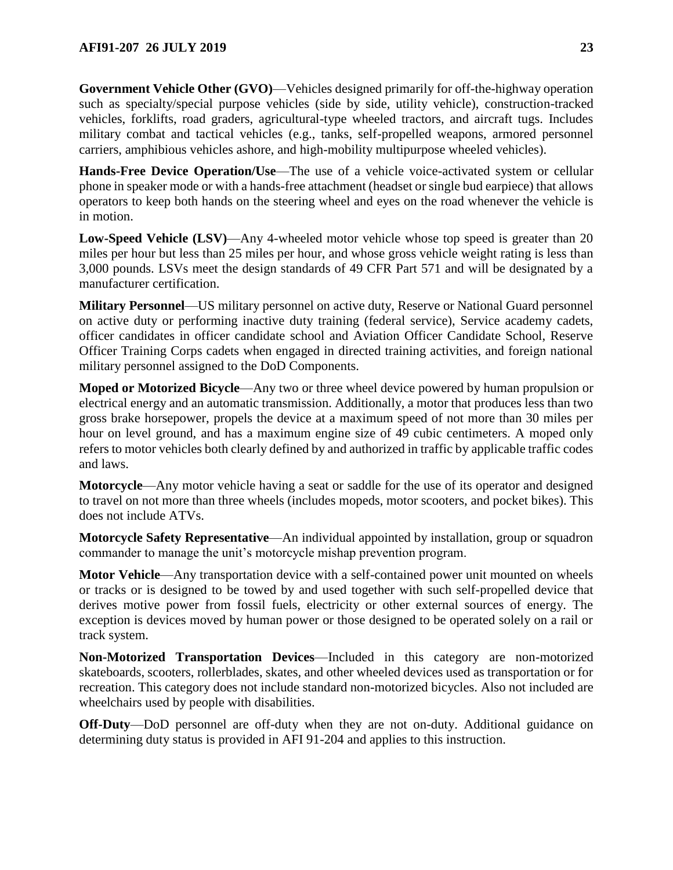**Government Vehicle Other (GVO)**—Vehicles designed primarily for off-the-highway operation such as specialty/special purpose vehicles (side by side, utility vehicle), construction-tracked vehicles, forklifts, road graders, agricultural-type wheeled tractors, and aircraft tugs. Includes military combat and tactical vehicles (e.g., tanks, self-propelled weapons, armored personnel carriers, amphibious vehicles ashore, and high-mobility multipurpose wheeled vehicles).

**Hands-Free Device Operation/Use**—The use of a vehicle voice-activated system or cellular phone in speaker mode or with a hands-free attachment (headset or single bud earpiece) that allows operators to keep both hands on the steering wheel and eyes on the road whenever the vehicle is in motion.

**Low-Speed Vehicle (LSV)**—Any 4-wheeled motor vehicle whose top speed is greater than 20 miles per hour but less than 25 miles per hour, and whose gross vehicle weight rating is less than 3,000 pounds. LSVs meet the design standards of 49 CFR Part 571 and will be designated by a manufacturer certification.

**Military Personnel**—US military personnel on active duty, Reserve or National Guard personnel on active duty or performing inactive duty training (federal service), Service academy cadets, officer candidates in officer candidate school and Aviation Officer Candidate School, Reserve Officer Training Corps cadets when engaged in directed training activities, and foreign national military personnel assigned to the DoD Components.

**Moped or Motorized Bicycle**—Any two or three wheel device powered by human propulsion or electrical energy and an automatic transmission. Additionally, a motor that produces less than two gross brake horsepower, propels the device at a maximum speed of not more than 30 miles per hour on level ground, and has a maximum engine size of 49 cubic centimeters. A moped only refers to motor vehicles both clearly defined by and authorized in traffic by applicable traffic codes and laws.

**Motorcycle**—Any motor vehicle having a seat or saddle for the use of its operator and designed to travel on not more than three wheels (includes mopeds, motor scooters, and pocket bikes). This does not include ATVs.

**Motorcycle Safety Representative**—An individual appointed by installation, group or squadron commander to manage the unit's motorcycle mishap prevention program.

**Motor Vehicle**—Any transportation device with a self-contained power unit mounted on wheels or tracks or is designed to be towed by and used together with such self-propelled device that derives motive power from fossil fuels, electricity or other external sources of energy. The exception is devices moved by human power or those designed to be operated solely on a rail or track system.

**Non-Motorized Transportation Devices**—Included in this category are non-motorized skateboards, scooters, rollerblades, skates, and other wheeled devices used as transportation or for recreation. This category does not include standard non-motorized bicycles. Also not included are wheelchairs used by people with disabilities.

**Off-Duty**—DoD personnel are off-duty when they are not on-duty. Additional guidance on determining duty status is provided in AFI 91-204 and applies to this instruction.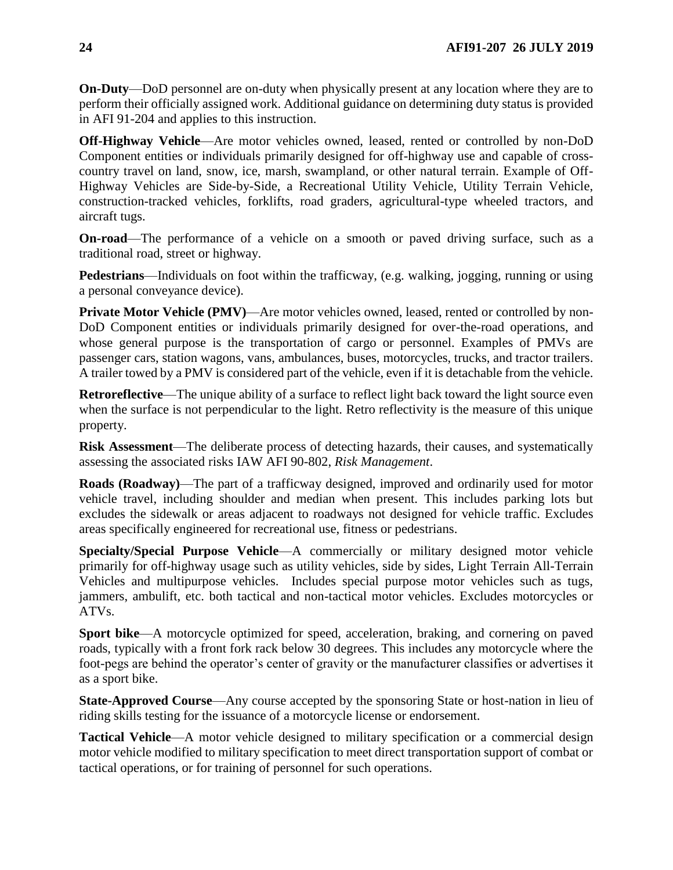**On-Duty**—DoD personnel are on-duty when physically present at any location where they are to perform their officially assigned work. Additional guidance on determining duty status is provided in AFI 91-204 and applies to this instruction.

**Off-Highway Vehicle**—Are motor vehicles owned, leased, rented or controlled by non-DoD Component entities or individuals primarily designed for off-highway use and capable of crosscountry travel on land, snow, ice, marsh, swampland, or other natural terrain. Example of Off-Highway Vehicles are Side-by-Side, a Recreational Utility Vehicle, Utility Terrain Vehicle, construction-tracked vehicles, forklifts, road graders, agricultural-type wheeled tractors, and aircraft tugs.

**On-road**—The performance of a vehicle on a smooth or paved driving surface, such as a traditional road, street or highway.

**Pedestrians**—Individuals on foot within the trafficway, (e.g. walking, jogging, running or using a personal conveyance device).

**Private Motor Vehicle (PMV)**—Are motor vehicles owned, leased, rented or controlled by non-DoD Component entities or individuals primarily designed for over-the-road operations, and whose general purpose is the transportation of cargo or personnel. Examples of PMVs are passenger cars, station wagons, vans, ambulances, buses, motorcycles, trucks, and tractor trailers. A trailer towed by a PMV is considered part of the vehicle, even if it is detachable from the vehicle.

**Retroreflective**—The unique ability of a surface to reflect light back toward the light source even when the surface is not perpendicular to the light. Retro reflectivity is the measure of this unique property.

**Risk Assessment**—The deliberate process of detecting hazards, their causes, and systematically assessing the associated risks IAW AFI 90-802, *Risk Management*.

**Roads (Roadway)**—The part of a trafficway designed, improved and ordinarily used for motor vehicle travel, including shoulder and median when present. This includes parking lots but excludes the sidewalk or areas adjacent to roadways not designed for vehicle traffic. Excludes areas specifically engineered for recreational use, fitness or pedestrians.

**Specialty/Special Purpose Vehicle**—A commercially or military designed motor vehicle primarily for off-highway usage such as utility vehicles, side by sides, Light Terrain All-Terrain Vehicles and multipurpose vehicles. Includes special purpose motor vehicles such as tugs, jammers, ambulift, etc. both tactical and non-tactical motor vehicles. Excludes motorcycles or ATVs.

**Sport bike**—A motorcycle optimized for speed, acceleration, braking, and cornering on paved roads, typically with a front fork rack below 30 degrees. This includes any motorcycle where the foot-pegs are behind the operator's center of gravity or the manufacturer classifies or advertises it as a sport bike.

**State-Approved Course**—Any course accepted by the sponsoring State or host-nation in lieu of riding skills testing for the issuance of a motorcycle license or endorsement.

**Tactical Vehicle**—A motor vehicle designed to military specification or a commercial design motor vehicle modified to military specification to meet direct transportation support of combat or tactical operations, or for training of personnel for such operations.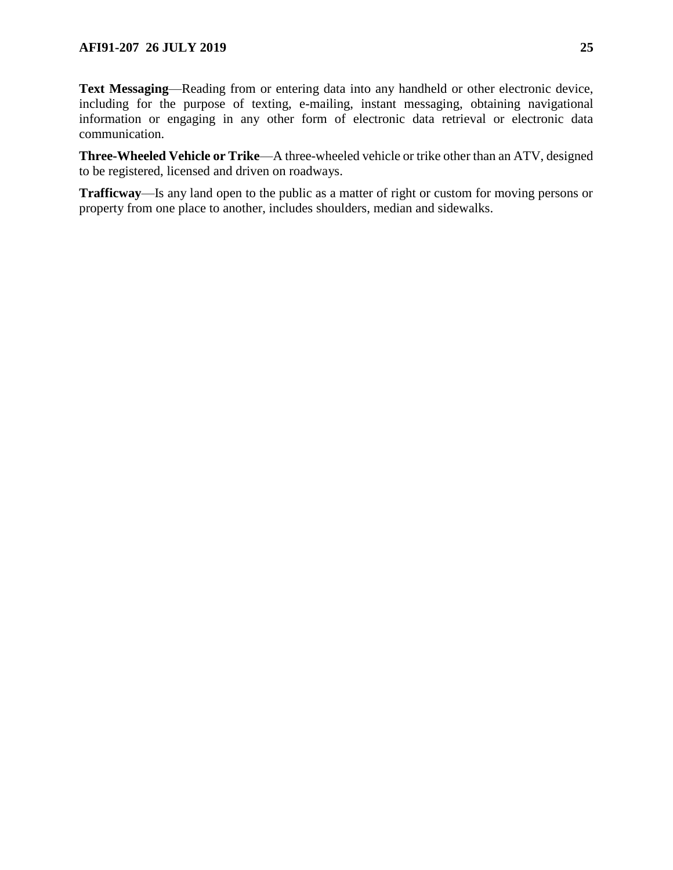**Text Messaging**—Reading from or entering data into any handheld or other electronic device, including for the purpose of texting, e-mailing, instant messaging, obtaining navigational information or engaging in any other form of electronic data retrieval or electronic data communication.

**Three-Wheeled Vehicle or Trike**—A three-wheeled vehicle or trike other than an ATV, designed to be registered, licensed and driven on roadways.

**Trafficway**—Is any land open to the public as a matter of right or custom for moving persons or property from one place to another, includes shoulders, median and sidewalks.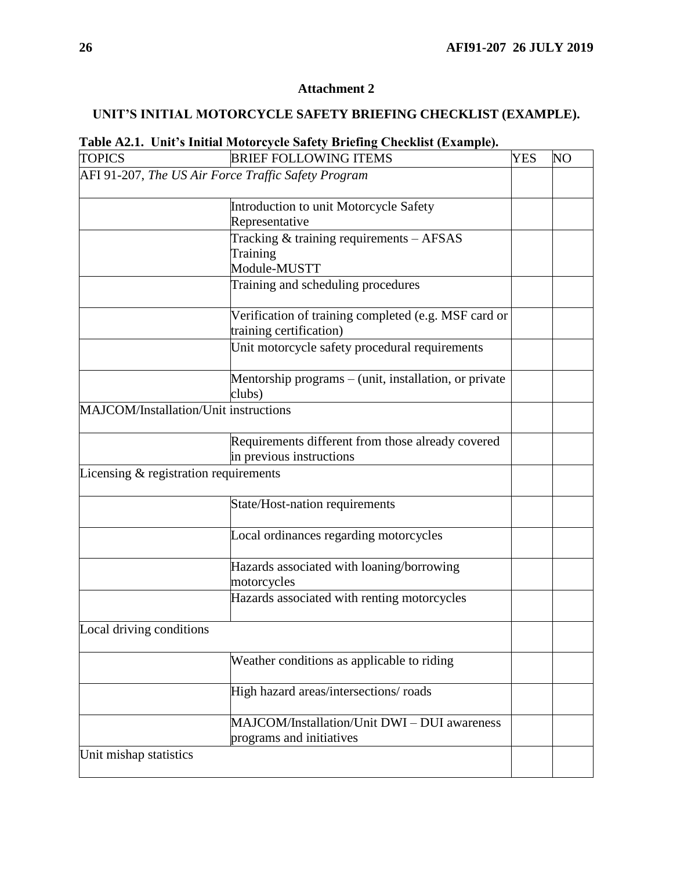## <span id="page-25-0"></span>**UNIT'S INITIAL MOTORCYCLE SAFETY BRIEFING CHECKLIST (EXAMPLE).**

# **Table A2.1. Unit's Initial Motorcycle Safety Briefing Checklist (Example).**

| <b>TOPICS</b>                         | <b>BRIEF FOLLOWING ITEMS</b>                                    | <b>YES</b> | NO |
|---------------------------------------|-----------------------------------------------------------------|------------|----|
|                                       | AFI 91-207, The US Air Force Traffic Safety Program             |            |    |
|                                       |                                                                 |            |    |
|                                       | Introduction to unit Motorcycle Safety                          |            |    |
|                                       | Representative                                                  |            |    |
|                                       | Tracking & training requirements - AFSAS                        |            |    |
|                                       | Training                                                        |            |    |
|                                       | Module-MUSTT                                                    |            |    |
|                                       | Training and scheduling procedures                              |            |    |
|                                       | Verification of training completed (e.g. MSF card or            |            |    |
|                                       | training certification)                                         |            |    |
|                                       | Unit motorcycle safety procedural requirements                  |            |    |
|                                       | Mentorship programs – (unit, installation, or private<br>clubs) |            |    |
| MAJCOM/Installation/Unit instructions |                                                                 |            |    |
|                                       |                                                                 |            |    |
|                                       | Requirements different from those already covered               |            |    |
|                                       | in previous instructions                                        |            |    |
| Licensing & registration requirements |                                                                 |            |    |
|                                       |                                                                 |            |    |
|                                       | State/Host-nation requirements                                  |            |    |
|                                       | Local ordinances regarding motorcycles                          |            |    |
|                                       | Hazards associated with loaning/borrowing                       |            |    |
|                                       | motorcycles                                                     |            |    |
|                                       | Hazards associated with renting motorcycles                     |            |    |
| Local driving conditions              |                                                                 |            |    |
|                                       | Weather conditions as applicable to riding                      |            |    |
|                                       |                                                                 |            |    |
|                                       | High hazard areas/intersections/roads                           |            |    |
|                                       | MAJCOM/Installation/Unit DWI - DUI awareness                    |            |    |
|                                       | programs and initiatives                                        |            |    |
| Unit mishap statistics                |                                                                 |            |    |
|                                       |                                                                 |            |    |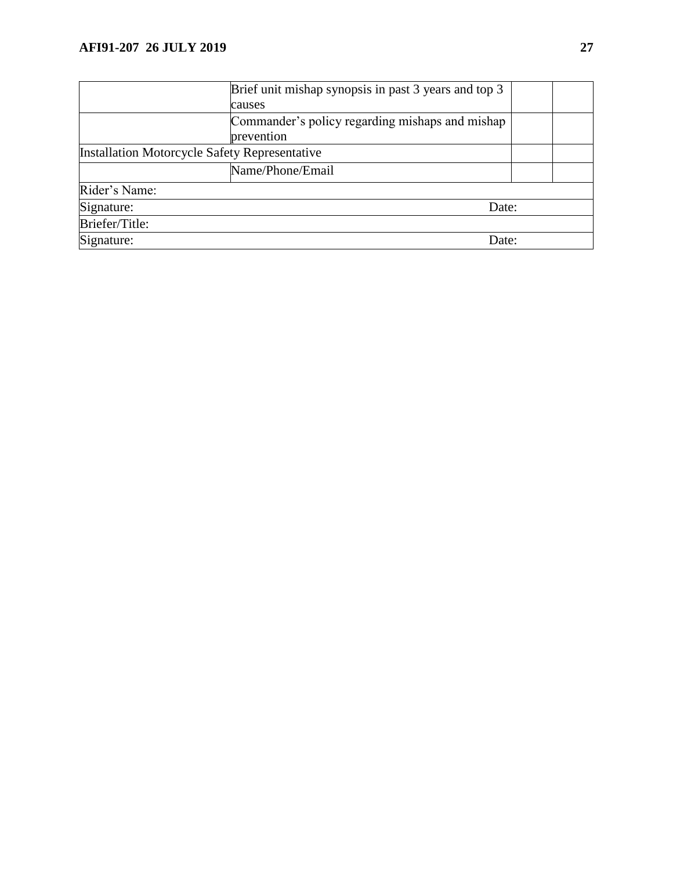|                                                      | Brief unit mishap synopsis in past 3 years and top 3 |  |
|------------------------------------------------------|------------------------------------------------------|--|
|                                                      | causes                                               |  |
|                                                      | Commander's policy regarding mishaps and mishap      |  |
|                                                      | prevention                                           |  |
| <b>Installation Motorcycle Safety Representative</b> |                                                      |  |
|                                                      | Name/Phone/Email                                     |  |
| Rider's Name:                                        |                                                      |  |
| Signature:<br>Date:                                  |                                                      |  |
| Briefer/Title:                                       |                                                      |  |
| Signature:<br>Date:                                  |                                                      |  |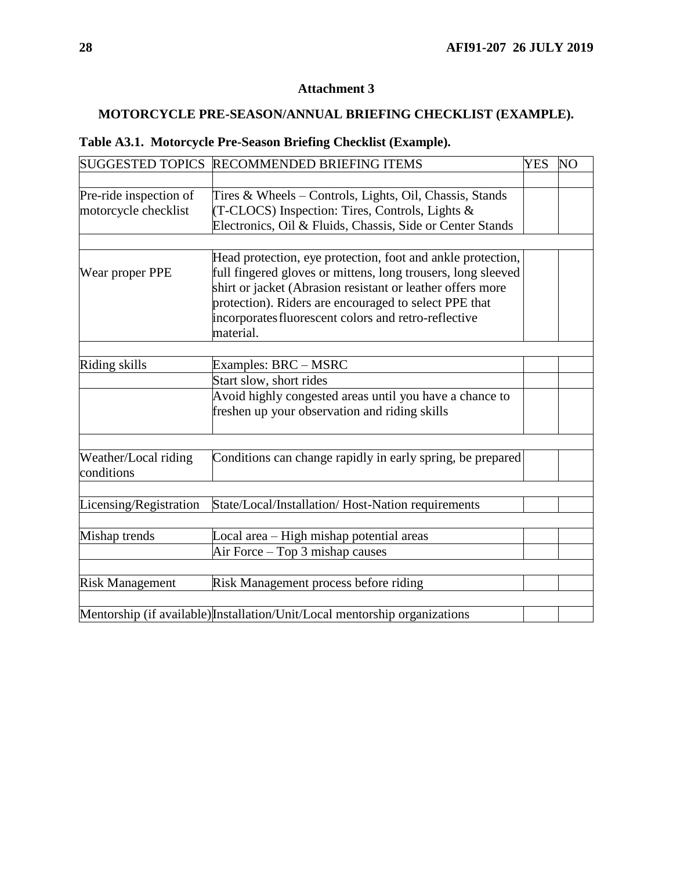## <span id="page-27-0"></span>**MOTORCYCLE PRE-SEASON/ANNUAL BRIEFING CHECKLIST (EXAMPLE).**

|  | Table A3.1. Motorcycle Pre-Season Briefing Checklist (Example). |  |  |  |  |
|--|-----------------------------------------------------------------|--|--|--|--|
|--|-----------------------------------------------------------------|--|--|--|--|

| SUGGESTED TOPICS RECOMMENDED BRIEFING ITEMS |                                                                            |  | N <sub>O</sub> |
|---------------------------------------------|----------------------------------------------------------------------------|--|----------------|
|                                             |                                                                            |  |                |
| Pre-ride inspection of                      | Tires & Wheels – Controls, Lights, Oil, Chassis, Stands                    |  |                |
| motorcycle checklist                        | (T-CLOCS) Inspection: Tires, Controls, Lights &                            |  |                |
|                                             | Electronics, Oil & Fluids, Chassis, Side or Center Stands                  |  |                |
|                                             |                                                                            |  |                |
|                                             | Head protection, eye protection, foot and ankle protection,                |  |                |
| Wear proper PPE                             | full fingered gloves or mittens, long trousers, long sleeved               |  |                |
|                                             | shirt or jacket (Abrasion resistant or leather offers more                 |  |                |
|                                             | protection). Riders are encouraged to select PPE that                      |  |                |
|                                             | incorporates fluorescent colors and retro-reflective                       |  |                |
|                                             | material.                                                                  |  |                |
|                                             |                                                                            |  |                |
| Riding skills                               | Examples: BRC - MSRC                                                       |  |                |
|                                             | Start slow, short rides                                                    |  |                |
|                                             | Avoid highly congested areas until you have a chance to                    |  |                |
|                                             | freshen up your observation and riding skills                              |  |                |
|                                             |                                                                            |  |                |
| Weather/Local riding                        | Conditions can change rapidly in early spring, be prepared                 |  |                |
| conditions                                  |                                                                            |  |                |
|                                             |                                                                            |  |                |
| Licensing/Registration                      | State/Local/Installation/ Host-Nation requirements                         |  |                |
|                                             |                                                                            |  |                |
| Mishap trends                               | Local area - High mishap potential areas                                   |  |                |
|                                             | Air Force – Top 3 mishap causes                                            |  |                |
|                                             |                                                                            |  |                |
| <b>Risk Management</b>                      | Risk Management process before riding                                      |  |                |
|                                             |                                                                            |  |                |
|                                             | Mentorship (if available) Installation/Unit/Local mentorship organizations |  |                |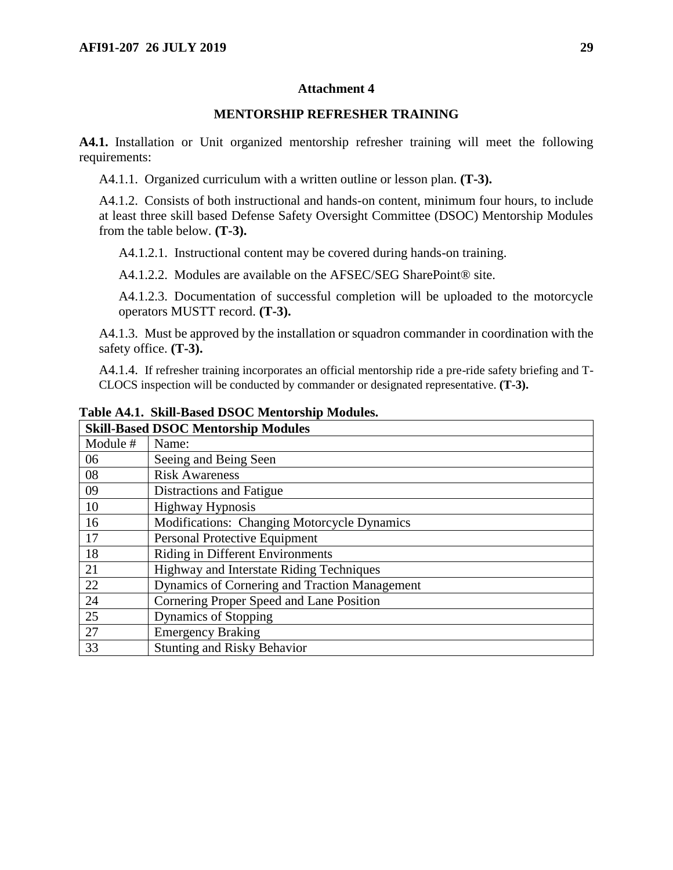#### **MENTORSHIP REFRESHER TRAINING**

<span id="page-28-0"></span>**A4.1.** Installation or Unit organized mentorship refresher training will meet the following requirements:

A4.1.1. Organized curriculum with a written outline or lesson plan. **(T-3).**

A4.1.2. Consists of both instructional and hands-on content, minimum four hours, to include at least three skill based Defense Safety Oversight Committee (DSOC) Mentorship Modules from the table below. **(T-3).**

A4.1.2.1. Instructional content may be covered during hands-on training.

A4.1.2.2. Modules are available on the AFSEC/SEG SharePoint<sup>®</sup> site.

A4.1.2.3. Documentation of successful completion will be uploaded to the motorcycle operators MUSTT record. **(T-3).**

A4.1.3. Must be approved by the installation or squadron commander in coordination with the safety office. **(T-3).**

A4.1.4. If refresher training incorporates an official mentorship ride a pre-ride safety briefing and T-CLOCS inspection will be conducted by commander or designated representative. **(T-3).**

| <b>Skill-Based DSOC Mentorship Modules</b> |                                               |  |
|--------------------------------------------|-----------------------------------------------|--|
| Module #                                   | Name:                                         |  |
| 06                                         | Seeing and Being Seen                         |  |
| 08                                         | <b>Risk Awareness</b>                         |  |
| 09                                         | Distractions and Fatigue                      |  |
| 10                                         | <b>Highway Hypnosis</b>                       |  |
| 16                                         | Modifications: Changing Motorcycle Dynamics   |  |
| 17                                         | Personal Protective Equipment                 |  |
| 18                                         | <b>Riding in Different Environments</b>       |  |
| 21                                         | Highway and Interstate Riding Techniques      |  |
| 22                                         | Dynamics of Cornering and Traction Management |  |
| 24                                         | Cornering Proper Speed and Lane Position      |  |
| 25                                         | <b>Dynamics of Stopping</b>                   |  |
| 27                                         | <b>Emergency Braking</b>                      |  |
| 33                                         | <b>Stunting and Risky Behavior</b>            |  |

**Table A4.1. Skill-Based DSOC Mentorship Modules.**